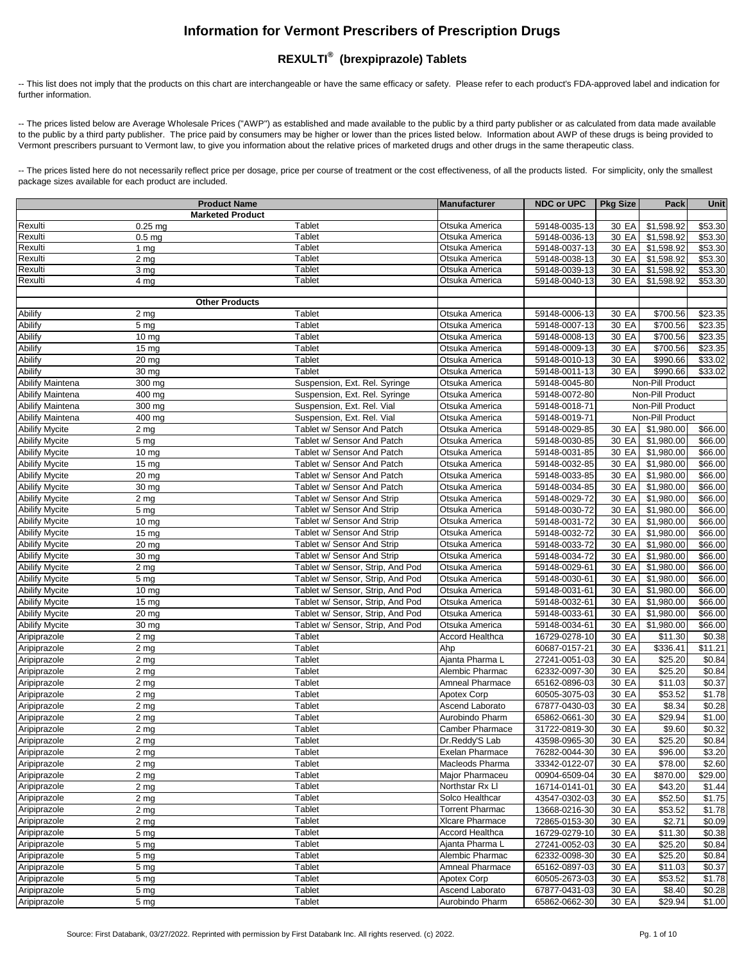## **Information for Vermont Prescribers of Prescription Drugs**

## **REXULTI® (brexpiprazole) Tablets**

-- This list does not imply that the products on this chart are interchangeable or have the same efficacy or safety. Please refer to each product's FDA-approved label and indication for further information.

-- The prices listed below are Average Wholesale Prices ("AWP") as established and made available to the public by a third party publisher or as calculated from data made available to the public by a third party publisher. The price paid by consumers may be higher or lower than the prices listed below. Information about AWP of these drugs is being provided to Vermont prescribers pursuant to Vermont law, to give you information about the relative prices of marketed drugs and other drugs in the same therapeutic class.

-- The prices listed here do not necessarily reflect price per dosage, price per course of treatment or the cost effectiveness, of all the products listed. For simplicity, only the smallest package sizes available for each product are included.

|                                                | <b>Product Name</b>     |                                  | <b>Manufacturer</b>    | <b>NDC or UPC</b> | <b>Pkg Size</b> | Pack             | <b>Unit</b>        |
|------------------------------------------------|-------------------------|----------------------------------|------------------------|-------------------|-----------------|------------------|--------------------|
|                                                | <b>Marketed Product</b> |                                  |                        |                   |                 |                  |                    |
| Rexulti                                        | $0.25$ mg               | Tablet                           | Otsuka America         | 59148-0035-13     | 30 EA           | \$1,598.92       | \$53.30            |
| Rexulti                                        | 0.5 <sub>mg</sub>       | Tablet                           | Otsuka America         | 59148-0036-13     | 30 EA           | \$1,598.92       | \$53.30            |
| Rexulti                                        | 1 $mg$                  | Tablet                           | Otsuka America         | 59148-0037-13     | 30 EA           | \$1,598.92       | \$53.30            |
| Rexulti                                        | 2 mg                    | Tablet                           | Otsuka America         | 59148-0038-13     | 30 EA           | \$1,598.92       | \$53.30            |
| Rexulti                                        | 3 mg                    | Tablet                           | Otsuka America         | 59148-0039-13     | 30 EA           | \$1,598.92       | \$53.30            |
| Rexulti                                        | 4 mg                    | Tablet                           | Otsuka America         | 59148-0040-13     | 30 EA           | \$1,598.92       | \$53.30            |
|                                                |                         |                                  |                        |                   |                 |                  |                    |
|                                                | <b>Other Products</b>   |                                  |                        |                   |                 |                  |                    |
| Abilify                                        | 2 mg                    | Tablet                           | Otsuka America         | 59148-0006-13     | 30 EA           | \$700.56         | \$23.35            |
| <b>Abilify</b>                                 | 5 <sub>mg</sub>         | Tablet                           | Otsuka America         | 59148-0007-13     | 30 EA           | \$700.56         | \$23.35            |
| Abilify                                        | 10 mg                   | Tablet                           | Otsuka America         | 59148-0008-13     | 30 EA           | \$700.56         | \$23.35            |
| Abilify                                        | 15 <sub>mg</sub>        | Tablet                           | Otsuka America         | 59148-0009-13     | 30 EA           | \$700.56         | \$23.35            |
| Abilify                                        | 20 mg                   | Tablet                           | Otsuka America         | 59148-0010-13     | 30 EA           | \$990.66         | \$33.02            |
| Abilify                                        | 30 mg                   | Tablet                           | Otsuka America         | 59148-0011-13     | 30 EA           | \$990.66         | \$33.02            |
| <b>Abilify Maintena</b>                        | 300 mg                  | Suspension, Ext. Rel. Syringe    | Otsuka America         | 59148-0045-80     |                 | Non-Pill Product |                    |
| <b>Abilify Maintena</b>                        | 400 mg                  | Suspension, Ext. Rel. Syringe    | Otsuka America         | 59148-0072-80     |                 | Non-Pill Product |                    |
| <b>Abilify Maintena</b>                        | 300 mg                  | Suspension, Ext. Rel. Vial       | Otsuka America         | 59148-0018-71     |                 | Non-Pill Product |                    |
| <b>Abilify Maintena</b>                        | 400 mg                  | Suspension, Ext. Rel. Vial       | Otsuka America         | 59148-0019-71     |                 | Non-Pill Product |                    |
| <b>Abilify Mycite</b>                          | 2 mg                    | Tablet w/ Sensor And Patch       | Otsuka America         | 59148-0029-85     | 30 EA           | \$1,980.00       | \$66.00            |
| <b>Abilify Mycite</b>                          | 5 <sub>mg</sub>         | Tablet w/ Sensor And Patch       | Otsuka America         | 59148-0030-85     | 30 EA           | \$1,980.00       | \$66.00            |
| <b>Abilify Mycite</b>                          | $10 \text{ mg}$         | Tablet w/ Sensor And Patch       | Otsuka America         | 59148-0031-85     | 30 EA           | \$1,980.00       | \$66.00            |
| <b>Abilify Mycite</b>                          | 15 <sub>mg</sub>        | Tablet w/ Sensor And Patch       | Otsuka America         | 59148-0032-85     | 30 EA           | \$1,980.00       | \$66.00            |
| <b>Abilify Mycite</b>                          | 20 mg                   | Tablet w/ Sensor And Patch       | Otsuka America         | 59148-0033-85     | 30 EA           | \$1,980.00       | \$66.00            |
| <b>Abilify Mycite</b>                          | 30 mg                   | Tablet w/ Sensor And Patch       | Otsuka America         | 59148-0034-85     | 30 EA           | \$1,980.00       | \$66.00            |
| <b>Abilify Mycite</b>                          | 2 mg                    | Tablet w/ Sensor And Strip       | Otsuka America         | 59148-0029-72     | 30 EA           | \$1,980.00       | \$66.00            |
| <b>Abilify Mycite</b>                          | 5 mg                    | Tablet w/ Sensor And Strip       | Otsuka America         | 59148-0030-72     | 30 EA           | \$1,980.00       | \$66.00            |
| <b>Abilify Mycite</b>                          | 10 <sub>mg</sub>        | Tablet w/ Sensor And Strip       | Otsuka America         | 59148-0031-72     | 30 EA           | \$1,980.00       | \$66.00            |
| <b>Abilify Mycite</b>                          | 15 <sub>mg</sub>        | Tablet w/ Sensor And Strip       | Otsuka America         | 59148-0032-72     | 30 EA           | \$1,980.00       | \$66.00            |
| <b>Abilify Mycite</b>                          | 20 mg                   | Tablet w/ Sensor And Strip       | Otsuka America         | 59148-0033-72     | 30 EA           | \$1,980.00       | \$66.00            |
|                                                | $\overline{30}$ mg      | Tablet w/ Sensor And Strip       |                        | 59148-0034-72     | 30 EA           | \$1,980.00       | \$66.00            |
| <b>Abilify Mycite</b><br><b>Abilify Mycite</b> |                         |                                  | Otsuka America         |                   |                 | \$1,980.00       |                    |
|                                                | 2 <sub>mg</sub>         | Tablet w/ Sensor, Strip, And Pod | Otsuka America         | 59148-0029-61     | 30 EA           |                  | \$66.00<br>\$66.00 |
| <b>Abilify Mycite</b>                          | 5 mg                    | Tablet w/ Sensor, Strip, And Pod | Otsuka America         | 59148-0030-61     | 30 EA           | \$1,980.00       |                    |
| <b>Abilify Mycite</b>                          | 10 <sub>mg</sub>        | Tablet w/ Sensor, Strip, And Pod | Otsuka America         | 59148-0031-61     | 30 EA           | \$1,980.00       | \$66.00            |
| <b>Abilify Mycite</b>                          | 15 <sub>mg</sub>        | Tablet w/ Sensor, Strip, And Pod | Otsuka America         | 59148-0032-61     | 30 EA           | \$1,980.00       | \$66.00            |
| <b>Abilify Mycite</b>                          | 20 mg                   | Tablet w/ Sensor, Strip, And Pod | Otsuka America         | 59148-0033-61     | 30 EA           | \$1,980.00       | \$66.00            |
| <b>Abilify Mycite</b>                          | 30 mg                   | Tablet w/ Sensor, Strip, And Pod | Otsuka America         | 59148-0034-61     | 30 EA           | \$1,980.00       | \$66.00            |
| Aripiprazole                                   | 2 <sub>mg</sub>         | Tablet                           | <b>Accord Healthca</b> | 16729-0278-10     | 30 EA           | \$11.30          | \$0.38             |
| Aripiprazole                                   | 2 <sub>mg</sub>         | Tablet                           | Ahp                    | 60687-0157-21     | 30 EA           | \$336.41         | \$11.21            |
| Aripiprazole                                   | 2 <sub>mg</sub>         | Tablet                           | Ajanta Pharma L        | 27241-0051-03     | 30 EA           | \$25.20          | \$0.84             |
| Aripiprazole                                   | 2 <sub>mg</sub>         | Tablet                           | Alembic Pharmac        | 62332-0097-30     | 30 EA           | \$25.20          | \$0.84             |
| Aripiprazole                                   | 2 <sub>mg</sub>         | Tablet                           | <b>Amneal Pharmace</b> | 65162-0896-03     | 30 EA           | \$11.03          | \$0.37             |
| Aripiprazole                                   | 2 mg                    | Tablet                           | <b>Apotex Corp</b>     | 60505-3075-03     | 30 EA           | \$53.52          | \$1.78             |
| Aripiprazole                                   | 2 mg                    | Tablet                           | Ascend Laborato        | 67877-0430-03     | 30 EA           | \$8.34           | \$0.28             |
| Aripiprazole                                   | 2 mg                    | Tablet                           | Aurobindo Pharm        | 65862-0661-30     | 30 EA           | \$29.94          | \$1.00             |
| Aripiprazole                                   | 2 mg                    | Tablet                           | <b>Camber Pharmace</b> | 31722-0819-30     | 30 EA           | \$9.60           | \$0.32             |
| Aripiprazole                                   | 2 <sub>mg</sub>         | Tablet                           | Dr.Reddy'S Lab         | 43598-0965-30     | 30 EA           | \$25.20          | \$0.84             |
| Aripiprazole                                   | 2 <sub>mg</sub>         | Tablet                           | Exelan Pharmace        | 76282-0044-30     | 30 EA           | \$96.00          | \$3.20             |
| Aripiprazole                                   | 2 <sub>mg</sub>         | Tablet                           | Macleods Pharma        | 33342-0122-07     | 30 EA           | \$78.00          | \$2.60             |
| Aripiprazole                                   | 2 <sub>mg</sub>         | Tablet                           | Major Pharmaceu        | 00904-6509-04     | 30 EA           | \$870.00         | \$29.00            |
| Aripiprazole                                   | 2 <sub>mg</sub>         | Tablet                           | Northstar Rx Ll        | 16714-0141-01     | 30 EA           | $\sqrt{$43.20}$  | \$1.44             |
| Aripiprazole                                   | $\overline{2}$ mg       | Tablet                           | Solco Healthcar        | 43547-0302-03     | 30 EA           | \$52.50          | \$1.75             |
| Aripiprazole                                   | $\overline{2}$ mg       | Tablet                           | <b>Torrent Pharmac</b> | 13668-0216-30     | 30 EA           | \$53.52          | \$1.78             |
| Aripiprazole                                   | 2 <sub>mg</sub>         | Tablet                           | <b>XIcare Pharmace</b> | 72865-0153-30     | 30 EA           | \$2.71           | \$0.09             |
| Aripiprazole                                   | 5 <sub>mg</sub>         | Tablet                           | Accord Healthca        | 16729-0279-10     | 30 EA           | \$11.30          | \$0.38             |
| Aripiprazole                                   | 5 <sub>mg</sub>         | Tablet                           | Ajanta Pharma L        | 27241-0052-03     | 30 EA           | \$25.20          | \$0.84             |
| Aripiprazole                                   | 5 <sub>mg</sub>         | Tablet                           | Alembic Pharmac        | 62332-0098-30     | 30 EA           | \$25.20          | \$0.84             |
| Aripiprazole                                   | 5 <sub>mg</sub>         | Tablet                           | Amneal Pharmace        | 65162-0897-03     | 30 EA           | \$11.03          | \$0.37             |
| Aripiprazole                                   | 5 mg                    | Tablet                           | <b>Apotex Corp</b>     | 60505-2673-03     | 30 EA           | \$53.52          | $\sqrt{$1.78}$     |
| Aripiprazole                                   | 5 mg                    | Tablet                           | Ascend Laborato        | 67877-0431-03     | 30 EA           | \$8.40           | \$0.28             |
| Aripiprazole                                   | 5 <sub>mg</sub>         | Tablet                           | Aurobindo Pharm        | 65862-0662-30     | 30 EA           | \$29.94          | \$1.00             |
|                                                |                         |                                  |                        |                   |                 |                  |                    |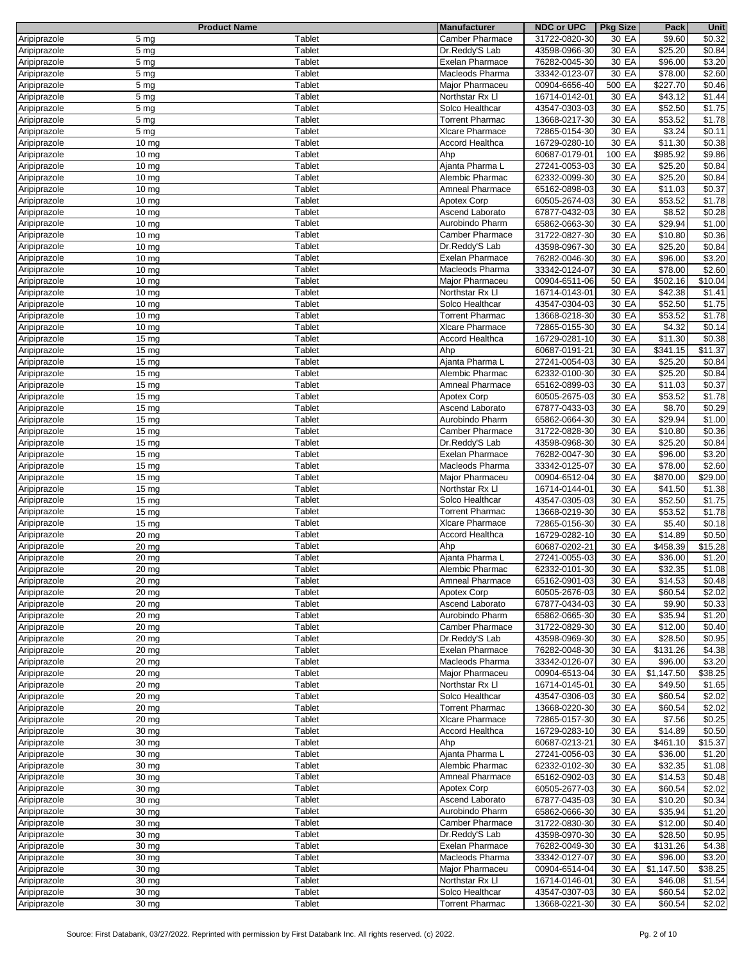|              |                    | <b>Product Name</b> | <b>Manufacturer</b>    | <b>NDC or UPC</b> | <b>Pkg Size</b> | Pack       | Unit               |
|--------------|--------------------|---------------------|------------------------|-------------------|-----------------|------------|--------------------|
| Aripiprazole | 5 <sub>mg</sub>    | Tablet              | <b>Camber Pharmace</b> | 31722-0820-30     | 30 EA           | \$9.60     | $\sqrt{$}0.32$     |
| Aripiprazole | 5 <sub>mg</sub>    | Tablet              | Dr.Reddy'S Lab         | 43598-0966-30     | 30 EA           | \$25.20    | \$0.84             |
|              |                    |                     |                        |                   |                 |            |                    |
| Aripiprazole | 5 <sub>mg</sub>    | Tablet              | Exelan Pharmace        | 76282-0045-30     | 30 EA           | \$96.00    | \$3.20             |
| Aripiprazole | 5 <sub>mg</sub>    | <b>Tablet</b>       | Macleods Pharma        | 33342-0123-07     | 30 EA           | \$78.00    | \$2.60             |
| Aripiprazole | 5 <sub>mg</sub>    | Tablet              | Major Pharmaceu        | 00904-6656-40     | 500 EA          | \$227.70   | \$0.46             |
| Aripiprazole | 5 <sub>mg</sub>    | <b>Tablet</b>       | Northstar Rx Ll        | 16714-0142-01     | 30 EA           | \$43.12    | \$1.44             |
|              |                    |                     |                        |                   |                 |            |                    |
| Aripiprazole | 5 <sub>mg</sub>    | Tablet              | Solco Healthcar        | 43547-0303-03     | 30 EA           | \$52.50    | \$1.75             |
| Aripiprazole | 5 <sub>mg</sub>    | <b>Tablet</b>       | <b>Torrent Pharmac</b> | 13668-0217-30     | 30 EA           | \$53.52    | $\overline{$}1.78$ |
| Aripiprazole | 5 mg               | Tablet              | XIcare Pharmace        | 72865-0154-30     | 30 EA           | \$3.24     | \$0.11             |
| Aripiprazole | $10 \text{ mg}$    | Tablet              | Accord Healthca        | 16729-0280-10     | 30 EA           | \$11.30    | \$0.38             |
|              |                    | Tablet              | Ahp                    |                   | 100 EA          |            |                    |
| Aripiprazole | $10 \text{ mg}$    |                     |                        | 60687-0179-01     |                 | \$985.92   | \$9.86             |
| Aripiprazole | $10 \text{ mg}$    | Tablet              | Ajanta Pharma L        | 27241-0053-03     | 30 EA           | \$25.20    | \$0.84             |
| Aripiprazole | 10 mg              | Tablet              | Alembic Pharmac        | 62332-0099-30     | 30 EA           | \$25.20    | \$0.84             |
| Aripiprazole | 10 mg              | Tablet              | Amneal Pharmace        | 65162-0898-03     | 30 EA           | \$11.03    | \$0.37             |
| Aripiprazole | 10 mg              | Tablet              | Apotex Corp            | 60505-2674-03     | 30 EA           | \$53.52    | \$1.78             |
|              |                    |                     |                        |                   |                 |            |                    |
| Aripiprazole | $10 \text{ mg}$    | <b>Tablet</b>       | Ascend Laborato        | 67877-0432-03     | 30 EA           | \$8.52     | \$0.28             |
| Aripiprazole | $10 \text{ mg}$    | <b>Tablet</b>       | Aurobindo Pharm        | 65862-0663-30     | 30 EA           | \$29.94    | \$1.00             |
| Aripiprazole | $10 \text{ mg}$    | <b>Tablet</b>       | Camber Pharmace        | 31722-0827-30     | 30 EA           | \$10.80    | \$0.36             |
| Aripiprazole | $10 \text{ mg}$    | Tablet              | Dr.Reddy'S Lab         | 43598-0967-30     | 30 EA           | \$25.20    | \$0.84             |
| Aripiprazole | 10 <sub>mg</sub>   | Tablet              | Exelan Pharmace        | 76282-0046-30     | 30 EA           | \$96.00    | \$3.20             |
|              |                    |                     |                        |                   |                 |            |                    |
| Aripiprazole | $10 \text{ mg}$    | Tablet              | Macleods Pharma        | 33342-0124-07     | 30 EA           | \$78.00    | \$2.60             |
| Aripiprazole | 10 mg              | Tablet              | Major Pharmaceu        | 00904-6511-06     | 50 EA           | \$502.16   | \$10.04            |
| Aripiprazole | $10 \text{ mg}$    | Tablet              | Northstar Rx Ll        | 16714-0143-01     | 30 EA           | \$42.38    | \$1.41             |
| Aripiprazole | $10 \text{ mg}$    | <b>Tablet</b>       | Solco Healthcar        | 43547-0304-03     | 30 EA           | \$52.50    | \$1.75             |
|              |                    | Tablet              | <b>Torrent Pharmac</b> |                   |                 |            | $\frac{1}{1.78}$   |
| Aripiprazole | $10 \text{ mg}$    |                     |                        | 13668-0218-30     | 30 EA           | \$53.52    |                    |
| Aripiprazole | 10 mg              | <b>Tablet</b>       | XIcare Pharmace        | 72865-0155-30     | 30 EA           | \$4.32     | \$0.14             |
| Aripiprazole | 15 <sub>mg</sub>   | <b>Tablet</b>       | <b>Accord Healthca</b> | 16729-0281-10     | 30 EA           | \$11.30    | \$0.38             |
| Aripiprazole | 15 mg              | Tablet              | Ahp                    | 60687-0191-21     | 30 EA           | \$341.15   | \$11.37            |
| Aripiprazole | 15 <sub>mg</sub>   | <b>Tablet</b>       | Ajanta Pharma L        | 27241-0054-03     | 30 EA           | \$25.20    | \$0.84             |
| Aripiprazole | 15 <sub>mg</sub>   | <b>Tablet</b>       | Alembic Pharmac        | 62332-0100-30     | 30 EA           | \$25.20    | \$0.84             |
|              |                    |                     |                        |                   |                 |            |                    |
| Aripiprazole | 15 <sub>mg</sub>   | Tablet              | Amneal Pharmace        | 65162-0899-03     | 30 EA           | \$11.03    | \$0.37             |
| Aripiprazole | 15 mg              | Tablet              | <b>Apotex Corp</b>     | 60505-2675-03     | 30 EA           | \$53.52    | \$1.78             |
| Aripiprazole | 15 <sub>mg</sub>   | Tablet              | Ascend Laborato        | 67877-0433-03     | 30 EA           | \$8.70     | \$0.29             |
| Aripiprazole | $\overline{15}$ mg | Tablet              | Aurobindo Pharm        | 65862-0664-30     | 30 EA           | \$29.94    | \$1.00             |
| Aripiprazole | 15 <sub>mg</sub>   | <b>Tablet</b>       | <b>Camber Pharmace</b> | 31722-0828-30     | 30 EA           | \$10.80    | \$0.36             |
| Aripiprazole | 15 <sub>mg</sub>   | <b>Tablet</b>       | Dr.Reddy'S Lab         | 43598-0968-30     | 30 EA           | \$25.20    | \$0.84             |
| Aripiprazole | 15 mg              | <b>Tablet</b>       | Exelan Pharmace        | 76282-0047-30     | 30 EA           | \$96.00    | \$3.20             |
|              |                    |                     |                        |                   |                 |            |                    |
| Aripiprazole | 15 <sub>mg</sub>   | Tablet              | Macleods Pharma        | 33342-0125-07     | 30 EA           | \$78.00    | \$2.60             |
| Aripiprazole | 15 <sub>mg</sub>   | Tablet              | Major Pharmaceu        | 00904-6512-04     | 30 EA           | \$870.00   | \$29.00            |
| Aripiprazole | 15 mg              | Tablet              | Northstar Rx Ll        | 16714-0144-01     | 30 EA           | \$41.50    | \$1.38             |
| Aripiprazole | 15 mg              | Tablet              | Solco Healthcar        | 43547-0305-03     | 30 EA           | \$52.50    | $\frac{1}{1.75}$   |
| Aripiprazole | 15 <sub>mg</sub>   | Tablet              | <b>Torrent Pharmac</b> | 13668-0219-30     | 30 EA           | \$53.52    | \$1.78             |
| Aripiprazole | 15 mg              | <b>Tablet</b>       | <b>XIcare Pharmace</b> | 72865-0156-30     | 30 EA           | \$5.40     | \$0.18             |
|              |                    | Tablet              |                        |                   |                 | \$14.89    | \$0.50             |
| Aripiprazole | 20 mg              |                     | <b>Accord Healthca</b> | 16729-0282-10     | 30 EA           |            |                    |
| Aripiprazole | 20 mg              | Tablet              | Ahp                    | 60687-0202-21     | 30 EA           | \$458.39   | \$15.28            |
| Aripiprazole | 20 mg              | Tablet              | Ajanta Pharma L        | 27241-0055-03     | 30 EA           | \$36.00    | \$1.20             |
| Aripiprazole | 20 mg              | Tablet              | Alembic Pharmac        | 62332-0101-30     | 30 EA           | \$32.35    | \$1.08             |
| Aripiprazole | 20 <sub>mg</sub>   | Tablet              | <b>Amneal Pharmace</b> | 65162-0901-03     | 30 EA           | \$14.53    | \$0.48             |
| Aripiprazole | $20$ mg            | Tablet              | Apotex Corp            | 60505-2676-03     | 30 EA           | \$60.54    | \$2.02             |
| Aripiprazole | $20$ mg            | Tablet              | Ascend Laborato        | 67877-0434-03     |                 | \$9.90     | \$0.33             |
|              |                    |                     |                        |                   | 30 EA           |            |                    |
| Aripiprazole | 20 mg              | Tablet              | Aurobindo Pharm        | 65862-0665-30     | 30 EA           | \$35.94    | \$1.20             |
| Aripiprazole | 20 mg              | Tablet              | Camber Pharmace        | 31722-0829-30     | 30 EA           | \$12.00    | \$0.40             |
| Aripiprazole | 20 mg              | Tablet              | Dr.Reddy'S Lab         | 43598-0969-30     | 30 EA           | \$28.50    | \$0.95             |
| Aripiprazole | $20$ mg            | Tablet              | Exelan Pharmace        | 76282-0048-30     | 30 EA           | \$131.26   | \$4.38             |
| Aripiprazole | $20$ mg            | Tablet              | Macleods Pharma        | 33342-0126-07     | 30 EA           | \$96.00    | \$3.20             |
| Aripiprazole | 20 mg              | Tablet              | Major Pharmaceu        | 00904-6513-04     | 30 EA           | \$1,147.50 | \$38.25            |
|              |                    |                     |                        |                   |                 |            |                    |
| Aripiprazole | 20 mg              | Tablet              | Northstar Rx Ll        | 16714-0145-01     | 30 EA           | \$49.50    | \$1.65             |
| Aripiprazole | 20 mg              | Tablet              | Solco Healthcar        | 43547-0306-03     | 30 EA           | \$60.54    | \$2.02             |
| Aripiprazole | 20 mg              | Tablet              | <b>Torrent Pharmac</b> | 13668-0220-30     | 30 EA           | \$60.54    | \$2.02             |
| Aripiprazole | $20$ mg            | Tablet              | XIcare Pharmace        | 72865-0157-30     | 30 EA           | \$7.56     | \$0.25             |
| Aripiprazole | 30 mg              | Tablet              | <b>Accord Healthca</b> | 16729-0283-10     | 30 EA           | \$14.89    | \$0.50             |
| Aripiprazole | 30 mg              | Tablet              | Ahp                    | 60687-0213-21     | 30 EA           | \$461.10   | \$15.37            |
| Aripiprazole | 30 mg              | Tablet              | Ajanta Pharma L        | 27241-0056-03     | 30 EA           | \$36.00    | \$1.20             |
|              |                    |                     |                        |                   |                 |            |                    |
| Aripiprazole | 30 mg              | Tablet              | Alembic Pharmac        | 62332-0102-30     | 30 EA           | \$32.35    | \$1.08             |
| Aripiprazole | 30 mg              | Tablet              | Amneal Pharmace        | 65162-0902-03     | 30 EA           | \$14.53    | \$0.48             |
| Aripiprazole | 30 mg              | Tablet              | Apotex Corp            | 60505-2677-03     | 30 EA           | \$60.54    | \$2.02             |
| Aripiprazole | 30 mg              | Tablet              | Ascend Laborato        | 67877-0435-03     | 30 EA           | \$10.20    | \$0.34             |
| Aripiprazole | 30 mg              | Tablet              | Aurobindo Pharm        | 65862-0666-30     | 30 EA           | \$35.94    | \$1.20             |
| Aripiprazole | 30 mg              | Tablet              | Camber Pharmace        | 31722-0830-30     | 30 EA           | \$12.00    | \$0.40             |
|              | 30 mg              | Tablet              | Dr.Reddy'S Lab         | 43598-0970-30     |                 | \$28.50    | \$0.95             |
| Aripiprazole |                    |                     |                        |                   | 30 EA           |            |                    |
| Aripiprazole | 30 mg              | Tablet              | Exelan Pharmace        | 76282-0049-30     | 30 EA           | \$131.26   | \$4.38             |
| Aripiprazole | 30 mg              | Tablet              | Macleods Pharma        | 33342-0127-07     | 30 EA           | \$96.00    | \$3.20             |
| Aripiprazole | 30 mg              | Tablet              | Major Pharmaceu        | 00904-6514-04     | 30 EA           | \$1,147.50 | \$38.25            |
| Aripiprazole | 30 mg              | Tablet              | Northstar Rx Ll        | 16714-0146-01     | 30 EA           | \$46.08    | \$1.54             |
| Aripiprazole | 30 mg              | Tablet              | Solco Healthcar        | 43547-0307-03     | 30 EA           | \$60.54    | \$2.02             |
| Aripiprazole | $\overline{30}$ mg | Tablet              | <b>Torrent Pharmac</b> | 13668-0221-30     | 30 EA           | \$60.54    | \$2.02             |
|              |                    |                     |                        |                   |                 |            |                    |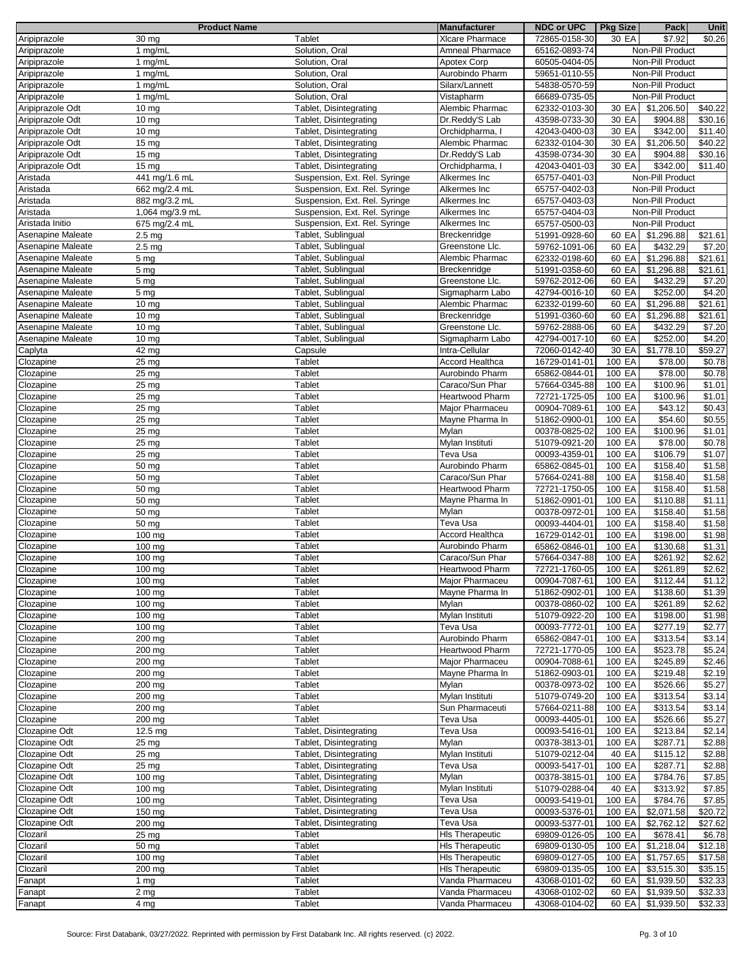|                   | <b>Product Name</b> |                               | <b>Manufacturer</b>    | <b>NDC or UPC</b> | <b>Pkg Size</b> | Pack             | Unit    |
|-------------------|---------------------|-------------------------------|------------------------|-------------------|-----------------|------------------|---------|
| Aripiprazole      | 30 mg               | Tablet                        | <b>XIcare Pharmace</b> | 72865-0158-30     | 30 EA           | \$7.92           | \$0.26  |
| Aripiprazole      | 1 mg/mL             | Solution, Oral                | Amneal Pharmace        | 65162-0893-74     |                 | Non-Pill Product |         |
| Aripiprazole      | 1 mg/mL             | Solution, Oral                |                        |                   |                 | Non-Pill Product |         |
|                   |                     |                               | Apotex Corp            | 60505-0404-05     |                 |                  |         |
| Aripiprazole      | 1 mg/mL             | Solution, Oral                | Aurobindo Pharm        | 59651-0110-55     |                 | Non-Pill Product |         |
| Aripiprazole      | 1 mg/mL             | Solution, Oral                | Silarx/Lannett         | 54838-0570-59     |                 | Non-Pill Product |         |
| Aripiprazole      | 1 mg/mL             | Solution, Oral                | Vistapharm             | 66689-0735-05     |                 | Non-Pill Product |         |
| Aripiprazole Odt  | $10 \text{ mg}$     | Tablet, Disintegrating        | Alembic Pharmac        | 62332-0103-30     | 30 EA           | \$1,206.50       | \$40.22 |
| Aripiprazole Odt  | $10 \text{ mg}$     | Tablet, Disintegrating        | Dr.Reddy'S Lab         | 43598-0733-30     | 30 EA           | \$904.88         | \$30.16 |
|                   |                     |                               |                        |                   |                 |                  |         |
| Aripiprazole Odt  | $10 \text{ mg}$     | Tablet, Disintegrating        | Orchidpharma, I        | 42043-0400-03     | 30 EA           | \$342.00         | \$11.40 |
| Aripiprazole Odt  | 15 <sub>mg</sub>    | Tablet, Disintegrating        | Alembic Pharmac        | 62332-0104-30     | 30 EA           | \$1,206.50       | \$40.22 |
| Aripiprazole Odt  | 15 <sub>mg</sub>    | Tablet, Disintegrating        | Dr.Reddy'S Lab         | 43598-0734-30     | 30 EA           | \$904.88         | \$30.16 |
| Aripiprazole Odt  | $15 \text{ mg}$     | Tablet, Disintegrating        | Orchidpharma, I        | 42043-0401-03     | 30 EA           | \$342.00         | \$11.40 |
| Aristada          | 441 mg/1.6 mL       | Suspension, Ext. Rel. Syringe | Alkermes Inc           | 65757-0401-03     |                 | Non-Pill Product |         |
| Aristada          | 662 mg/2.4 mL       | Suspension, Ext. Rel. Syringe | Alkermes Inc           | 65757-0402-03     |                 | Non-Pill Product |         |
|                   |                     |                               |                        |                   |                 |                  |         |
| Aristada          | 882 mg/3.2 mL       | Suspension, Ext. Rel. Syringe | Alkermes Inc           | 65757-0403-03     |                 | Non-Pill Product |         |
| Aristada          | 1,064 mg/3.9 mL     | Suspension, Ext. Rel. Syringe | Alkermes Inc           | 65757-0404-03     |                 | Non-Pill Product |         |
| Aristada Initio   | 675 mg/2.4 mL       | Suspension, Ext. Rel. Syringe | Alkermes Inc           | 65757-0500-03     |                 | Non-Pill Product |         |
| Asenapine Maleate | 2.5 <sub>mg</sub>   | Tablet, Sublingual            | Breckenridge           | 51991-0928-60     | 60 EA           | \$1,296.88       | \$21.61 |
| Asenapine Maleate | $2.5 \text{ mg}$    | Tablet, Sublingual            | Greenstone Llc.        | 59762-1091-06     | 60 EA           | \$432.29         | \$7.20  |
|                   |                     |                               |                        |                   |                 | \$1,296.88       |         |
| Asenapine Maleate | 5 mg                | Tablet, Sublingual            | Alembic Pharmac        | 62332-0198-60     | 60 EA           |                  | \$21.61 |
| Asenapine Maleate | 5 <sub>mg</sub>     | Tablet, Sublingual            | Breckenridge           | 51991-0358-60     | 60 EA           | \$1,296.88       | \$21.61 |
| Asenapine Maleate | 5 mg                | Tablet, Sublingual            | Greenstone Llc.        | 59762-2012-06     | 60 EA           | \$432.29         | \$7.20  |
| Asenapine Maleate | 5 <sub>mg</sub>     | Tablet, Sublingual            | Sigmapharm Labo        | 42794-0016-10     | 60 EA           | \$252.00         | \$4.20  |
| Asenapine Maleate | 10 <sub>mg</sub>    | Tablet, Sublingual            | Alembic Pharmac        | 62332-0199-60     | 60 EA           | \$1,296.88       | \$21.61 |
| Asenapine Maleate | $10 \text{ mg}$     | Tablet, Sublingual            | Breckenridge           | 51991-0360-60     | 60 EA           | \$1,296.88       | \$21.61 |
|                   |                     |                               |                        |                   |                 |                  |         |
| Asenapine Maleate | $10 \text{ mg}$     | Tablet, Sublingual            | Greenstone Llc.        | 59762-2888-06     | 60 EA           | \$432.29         | \$7.20  |
| Asenapine Maleate | $10 \text{ mg}$     | Tablet, Sublingual            | Sigmapharm Labo        | 42794-0017-10     | 60 EA           | \$252.00         | \$4.20  |
| Caplyta           | 42 mg               | Capsule                       | Intra-Cellular         | 72060-0142-40     | 30 EA           | \$1,778.10       | \$59.27 |
| Clozapine         | 25 <sub>mg</sub>    | Tablet                        | <b>Accord Healthca</b> | 16729-0141-01     | 100 EA          | \$78.00          | \$0.78  |
| Clozapine         | 25 <sub>mg</sub>    | Tablet                        | Aurobindo Pharm        | 65862-0844-01     | 100 EA          | \$78.00          | \$0.78  |
|                   |                     |                               |                        |                   | 100 EA          | \$100.96         | \$1.01  |
| Clozapine         | 25 <sub>mg</sub>    | Tablet                        | Caraco/Sun Phar        | 57664-0345-88     |                 |                  |         |
| Clozapine         | 25 mg               | Tablet                        | <b>Heartwood Pharm</b> | 72721-1725-05     | 100 EA          | \$100.96         | \$1.01  |
| Clozapine         | 25 <sub>mg</sub>    | Tablet                        | Major Pharmaceu        | 00904-7089-61     | 100 EA          | \$43.12          | \$0.43  |
| Clozapine         | 25 mg               | Tablet                        | Mayne Pharma In        | 51862-0900-01     | 100 EA          | \$54.60          | \$0.55  |
| Clozapine         | 25 <sub>mg</sub>    | Tablet                        | Mylan                  | 00378-0825-02     | 100 EA          | \$100.96         | \$1.01  |
| Clozapine         | 25 <sub>mg</sub>    | Tablet                        | Mylan Instituti        | 51079-0921-20     | 100 EA          | \$78.00          | \$0.78  |
|                   |                     | Tablet                        | Teva Usa               |                   | 100 EA          | \$106.79         | \$1.07  |
| Clozapine         | 25 mg               |                               |                        | 00093-4359-01     |                 |                  |         |
| Clozapine         | 50 mg               | Tablet                        | Aurobindo Pharm        | 65862-0845-01     | 100 EA          | \$158.40         | \$1.58  |
| Clozapine         | 50 mg               | Tablet                        | Caraco/Sun Phar        | 57664-0241-88     | 100 EA          | \$158.40         | \$1.58  |
| Clozapine         | 50 mg               | Tablet                        | <b>Heartwood Pharm</b> | 72721-1750-05     | 100 EA          | \$158.40         | \$1.58  |
| Clozapine         | 50 mg               | Tablet                        | Mayne Pharma In        | 51862-0901-01     | 100 EA          | \$110.88         | \$1.11  |
| Clozapine         | 50 mg               | Tablet                        | Mylan                  | 00378-0972-01     | 100 EA          | \$158.40         | \$1.58  |
|                   |                     |                               |                        |                   |                 |                  |         |
| Clozapine         | 50 mg               | Tablet                        | Teva Usa               | 00093-4404-01     | 100 EA          | \$158.40         | \$1.58  |
| Clozapine         | 100 mg              | Tablet                        | <b>Accord Healthca</b> | 16729-0142-01     | 100 EA          | \$198.00         | \$1.98  |
| Clozapine         | 100 mg              | Tablet                        | Aurobindo Pharm        | 65862-0846-01     | 100 EA          | \$130.68         | \$1.31  |
| Clozapine         | 100 mg              | Tablet                        | Caraco/Sun Phar        | 57664-0347-88     | 100 EA          | \$261.92         | \$2.62  |
| Clozapine         | 100 mg              | Tablet                        | Heartwood Pharm        | 72721-1760-05     | 100 EA          | \$261.89         | \$2.62  |
| Clozapine         | 100 mg              | Tablet                        | Major Pharmaceu        | 00904-7087-61     | 100 EA          | \$112.44         | \$1.12  |
|                   |                     |                               |                        |                   |                 |                  |         |
| Clozapine         | 100 mg              | Tablet                        | Mayne Pharma In        | 51862-0902-01     | 100 EA          | \$138.60         | \$1.39  |
| Clozapine         | 100 mg              | Tablet                        | Mylan                  | 00378-0860-02     | 100 EA          | \$261.89         | \$2.62  |
| Clozapine         | 100 mg              | Tablet                        | Mylan Instituti        | 51079-0922-20     | 100 EA          | \$198.00         | \$1.98  |
| Clozapine         | 100 mg              | Tablet                        | Teva Usa               | 00093-7772-01     | 100 EA          | \$277.19         | \$2.77  |
| Clozapine         | 200 mg              | Tablet                        | Aurobindo Pharm        | 65862-0847-01     | 100 EA          | \$313.54         | \$3.14  |
| Clozapine         | 200 mg              | Tablet                        | <b>Heartwood Pharm</b> | 72721-1770-05     | 100 EA          | \$523.78         | \$5.24  |
|                   |                     |                               |                        |                   |                 |                  |         |
| Clozapine         | 200 mg              | Tablet                        | Major Pharmaceu        | 00904-7088-61     | 100 EA          | \$245.89         | \$2.46  |
| Clozapine         | 200 mg              | Tablet                        | Mayne Pharma In        | 51862-0903-01     | 100 EA          | \$219.48         | \$2.19  |
| Clozapine         | 200 mg              | Tablet                        | Mylan                  | 00378-0973-02     | 100 EA          | \$526.66         | \$5.27  |
| Clozapine         | 200 mg              | Tablet                        | Mylan Instituti        | 51079-0749-20     | 100 EA          | \$313.54         | \$3.14  |
| Clozapine         | 200 mg              | Tablet                        | Sun Pharmaceuti        | 57664-0211-88     | 100 EA          | \$313.54         | \$3.14  |
| Clozapine         | 200 mg              | Tablet                        | Teva Usa               | 00093-4405-01     | 100 EA          | \$526.66         | \$5.27  |
|                   |                     |                               |                        |                   |                 |                  |         |
| Clozapine Odt     | 12.5 mg             | Tablet, Disintegrating        | Teva Usa               | 00093-5416-01     | 100 EA          | \$213.84         | \$2.14  |
| Clozapine Odt     | 25 mg               | Tablet, Disintegrating        | Mylan                  | 00378-3813-01     | 100 EA          | \$287.71         | \$2.88  |
| Clozapine Odt     | 25 mg               | Tablet, Disintegrating        | Mylan Instituti        | 51079-0212-04     | 40 EA           | \$115.12         | \$2.88  |
| Clozapine Odt     | $25 \text{ mg}$     | Tablet, Disintegrating        | Teva Usa               | 00093-5417-01     | 100 EA          | \$287.71         | \$2.88  |
| Clozapine Odt     | 100 mg              | Tablet, Disintegrating        | Mylan                  | 00378-3815-01     | 100 EA          | \$784.76         | \$7.85  |
| Clozapine Odt     | 100 mg              | Tablet, Disintegrating        | Mylan Instituti        | 51079-0288-04     | 40 EA           | \$313.92         | \$7.85  |
|                   |                     |                               |                        |                   |                 |                  |         |
| Clozapine Odt     | $100 \text{ mg}$    | Tablet, Disintegrating        | Teva Usa               | 00093-5419-01     | 100 EA          | \$784.76         | \$7.85  |
| Clozapine Odt     | 150 mg              | Tablet, Disintegrating        | Teva Usa               | 00093-5376-01     | 100 EA          | \$2,071.58       | \$20.72 |
| Clozapine Odt     | 200 mg              | Tablet, Disintegrating        | Teva Usa               | 00093-5377-01     | 100 EA          | \$2,762.12       | \$27.62 |
| Clozaril          | 25 mg               | Tablet                        | <b>HIs Therapeutic</b> | 69809-0126-05     | 100 EA          | \$678.41         | \$6.78  |
| Clozaril          | 50 mg               | Tablet                        | <b>HIs Therapeutic</b> | 69809-0130-05     | 100 EA          | \$1,218.04       | \$12.18 |
| Clozaril          | $100 \text{ mg}$    | Tablet                        | <b>HIs Therapeutic</b> | 69809-0127-05     | 100 EA          | \$1,757.65       | \$17.58 |
|                   |                     |                               |                        |                   |                 |                  |         |
| Clozaril          | 200 mg              | Tablet                        | <b>HIs Therapeutic</b> | 69809-0135-05     | 100 EA          | \$3,515.30       | \$35.15 |
| Fanapt            | 1 $mg$              | Tablet                        | Vanda Pharmaceu        | 43068-0101-02     | 60 EA           | \$1,939.50       | \$32.33 |
| Fanapt            | 2 <sub>mg</sub>     | Tablet                        | Vanda Pharmaceu        | 43068-0102-02     | 60 EA           | \$1,939.50       | \$32.33 |
| Fanapt            | 4 mg                | Tablet                        | Vanda Pharmaceu        | 43068-0104-02     | 60 EA           | \$1,939.50       | \$32.33 |
|                   |                     |                               |                        |                   |                 |                  |         |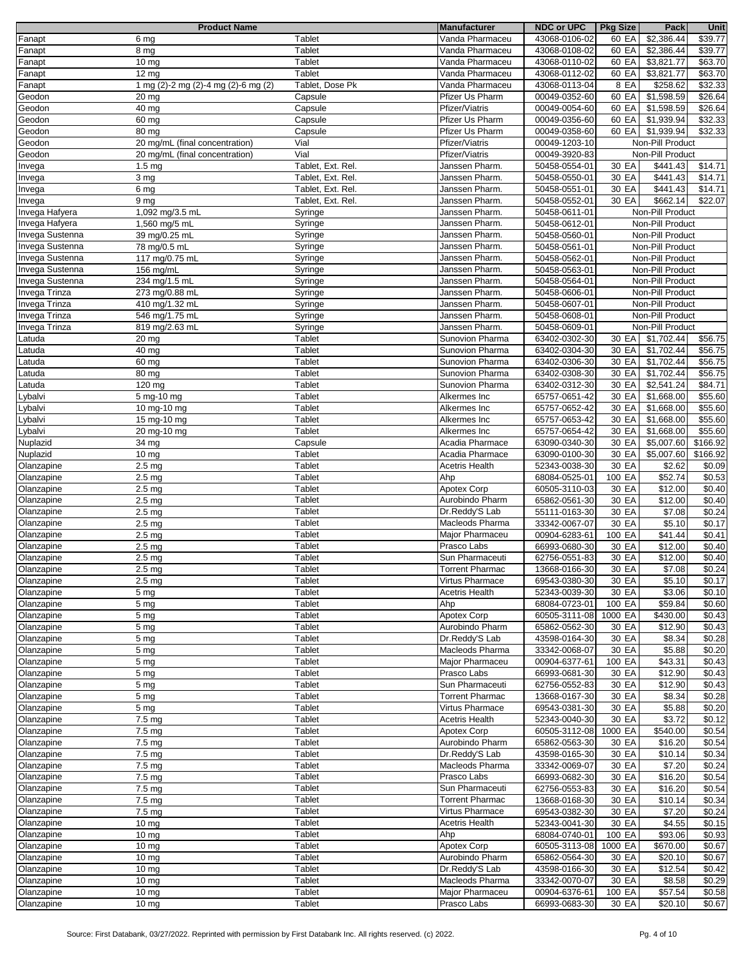|                 | <b>Product Name</b>                 |                   | <b>Manufacturer</b>    | <b>NDC or UPC</b> | <b>Pkg Size</b> | Pack             | Unit                |
|-----------------|-------------------------------------|-------------------|------------------------|-------------------|-----------------|------------------|---------------------|
| Fanapt          | 6 mg                                | Tablet            | Vanda Pharmaceu        | 43068-0106-02     | 60 EA           | \$2,386.44       | \$39.77             |
| Fanapt          | 8 mg                                | <b>Tablet</b>     | Vanda Pharmaceu        | 43068-0108-02     | 60 EA           | \$2,386.44       | \$39.77             |
| Fanapt          | 10 mg                               | <b>Tablet</b>     | Vanda Pharmaceu        | 43068-0110-02     | 60 EA           | \$3,821.77       | \$63.70             |
| Fanapt          |                                     | Tablet            |                        |                   |                 |                  |                     |
|                 | $12 \text{ mg}$                     |                   | Vanda Pharmaceu        | 43068-0112-02     | 60 EA           | \$3,821.77       | \$63.70             |
| Fanapt          | 1 mg (2)-2 mg (2)-4 mg (2)-6 mg (2) | Tablet, Dose Pk   | Vanda Pharmaceu        | 43068-0113-04     | 8 EA            | \$258.62         | \$32.33             |
| Geodon          | 20 mg                               | Capsule           | Pfizer Us Pharm        | 00049-0352-60     | 60 EA           | \$1,598.59       | \$26.64             |
| Geodon          | 40 mg                               | Capsule           | Pfizer/Viatris         | 00049-0054-60     | 60 EA           | \$1,598.59       | \$26.64             |
| Geodon          | 60 mg                               | Capsule           | Pfizer Us Pharm        | 00049-0356-60     | 60 EA           | \$1,939.94       | \$32.33             |
| Geodon          | 80 mg                               | Capsule           | Pfizer Us Pharm        | 00049-0358-60     | 60 EA           | \$1,939.94       | \$32.33             |
|                 |                                     |                   |                        |                   |                 |                  |                     |
| Geodon          | 20 mg/mL (final concentration)      | Vial              | Pfizer/Viatris         | 00049-1203-10     |                 | Non-Pill Product |                     |
| Geodon          | 20 mg/mL (final concentration)      | Vial              | Pfizer/Viatris         | 00049-3920-83     |                 | Non-Pill Product |                     |
| Invega          | 1.5 <sub>mg</sub>                   | Tablet, Ext. Rel. | Janssen Pharm.         | 50458-0554-01     | 30 EA           | \$441.43         | \$14.71             |
| Invega          | 3 mg                                | Tablet, Ext. Rel. | Janssen Pharm.         | 50458-0550-01     | 30 EA           | \$441.43         | \$14.71             |
| Invega          | 6 mg                                | Tablet, Ext. Rel. | Janssen Pharm.         | 50458-0551-01     | 30 EA           | \$441.43         | \$14.71             |
|                 |                                     | Tablet, Ext. Rel. |                        |                   |                 |                  |                     |
| Invega          | 9 <sub>mg</sub>                     |                   | Janssen Pharm.         | 50458-0552-01     | 30 EA           | \$662.14         | $\sqrt{$22.07}$     |
| Invega Hafyera  | 1,092 mg/3.5 mL                     | Syringe           | Janssen Pharm.         | 50458-0611-01     |                 | Non-Pill Product |                     |
| Invega Hafyera  | 1,560 mg/5 mL                       | Syringe           | Janssen Pharm.         | 50458-0612-01     |                 | Non-Pill Product |                     |
| Invega Sustenna | 39 mg/0.25 mL                       | Syringe           | Janssen Pharm.         | 50458-0560-01     |                 | Non-Pill Product |                     |
| Invega Sustenna | 78 mg/0.5 mL                        | Syringe           | Janssen Pharm.         | 50458-0561-01     |                 | Non-Pill Product |                     |
| Invega Sustenna | 117 mg/0.75 mL                      | Syringe           | Janssen Pharm.         | 50458-0562-01     |                 | Non-Pill Product |                     |
|                 |                                     |                   |                        | 50458-0563-01     |                 | Non-Pill Product |                     |
| Invega Sustenna | 156 mg/mL                           | Syringe           | Janssen Pharm.         |                   |                 |                  |                     |
| Invega Sustenna | 234 mg/1.5 mL                       | Syringe           | Janssen Pharm.         | 50458-0564-01     |                 | Non-Pill Product |                     |
| Invega Trinza   | 273 mg/0.88 mL                      | Syringe           | Janssen Pharm.         | 50458-0606-01     |                 | Non-Pill Product |                     |
| Invega Trinza   | 410 mg/1.32 mL                      | Syringe           | Janssen Pharm.         | 50458-0607-01     |                 | Non-Pill Product |                     |
| Invega Trinza   | 546 mg/1.75 mL                      | Syringe           | Janssen Pharm.         | 50458-0608-01     |                 | Non-Pill Product |                     |
| Invega Trinza   | 819 mg/2.63 mL                      | Syringe           | Janssen Pharm.         | 50458-0609-01     |                 | Non-Pill Product |                     |
|                 |                                     |                   |                        |                   |                 |                  |                     |
| Latuda          | 20 mg                               | Tablet            | Sunovion Pharma        | 63402-0302-30     | 30 EA           | \$1,702.44       | \$56.75             |
| Latuda          | 40 mg                               | Tablet            | Sunovion Pharma        | 63402-0304-30     | 30 EA           | \$1,702.44       | \$56.75             |
| Latuda          | 60 mg                               | <b>Tablet</b>     | Sunovion Pharma        | 63402-0306-30     | 30 EA           | \$1,702.44       | \$56.75             |
| Latuda          | $80 \, mg$                          | <b>Tablet</b>     | Sunovion Pharma        | 63402-0308-30     | 30 EA           | \$1,702.44       | $\overline{$}56.75$ |
| Latuda          | 120 mg                              | Tablet            | Sunovion Pharma        | 63402-0312-30     | 30 EA           | \$2,541.24       | \$84.71             |
|                 |                                     | Tablet            | Alkermes Inc           | 65757-0651-42     | 30 EA           | \$1,668.00       | \$55.60             |
| Lybalvi         | 5 mg-10 mg                          |                   |                        |                   |                 |                  |                     |
| Lybalvi         | 10 mg-10 mg                         | <b>Tablet</b>     | Alkermes Inc           | 65757-0652-42     | 30 EA           | \$1,668.00       | \$55.60             |
| Lybalvi         | 15 mg-10 mg                         | Tablet            | Alkermes Inc           | 65757-0653-42     | 30 EA           | \$1,668.00       | \$55.60             |
| Lybalvi         | 20 mg-10 mg                         | <b>Tablet</b>     | Alkermes Inc           | 65757-0654-42     | 30 EA           | \$1,668.00       | \$55.60             |
| Nuplazid        | 34 mg                               | Capsule           | Acadia Pharmace        | 63090-0340-30     | 30 EA           | \$5,007.60       | \$166.92            |
| Nuplazid        | 10 mg                               | Tablet            | Acadia Pharmace        | 63090-0100-30     | 30 EA           | \$5,007.60       | \$166.92            |
| Olanzapine      | 2.5 <sub>mg</sub>                   | Tablet            | <b>Acetris Health</b>  | 52343-0038-30     | 30 EA           | \$2.62           | \$0.09              |
|                 |                                     |                   |                        |                   |                 |                  |                     |
| Olanzapine      | 2.5 <sub>mg</sub>                   | Tablet            | Ahp                    | 68084-0525-01     | 100 EA          | \$52.74          | \$0.53              |
| Olanzapine      | 2.5 <sub>mg</sub>                   | Tablet            | Apotex Corp            | 60505-3110-03     | 30 EA           | \$12.00          | \$0.40              |
| Olanzapine      | 2.5 <sub>mg</sub>                   | <b>Tablet</b>     | Aurobindo Pharm        | 65862-0561-30     | 30 EA           | \$12.00          | \$0.40              |
| Olanzapine      | 2.5 <sub>mg</sub>                   | <b>Tablet</b>     | Dr.Reddy'S Lab         | 55111-0163-30     | 30 EA           | \$7.08           | $\sqrt{$}0.24$      |
| Olanzapine      | 2.5 <sub>mg</sub>                   | Tablet            | Macleods Pharma        | 33342-0067-07     | 30 EA           | \$5.10           | \$0.17              |
|                 |                                     | Tablet            | Major Pharmaceu        |                   | 100 EA          | \$41.44          | \$0.41              |
| Olanzapine      | 2.5 <sub>mg</sub>                   |                   |                        | 00904-6283-61     |                 |                  |                     |
| Olanzapine      | 2.5 <sub>mg</sub>                   | <b>Tablet</b>     | Prasco Labs            | 66993-0680-30     | 30 EA           | \$12.00          | \$0.40              |
| Olanzapine      | 2.5 <sub>mg</sub>                   | Tablet            | Sun Pharmaceuti        | 62756-0551-83     | 30 EA           | \$12.00          | \$0.40              |
| Olanzapine      | $2.5 \text{ mg}$                    | Tablet            | <b>Torrent Pharmac</b> | 13668-0166-30     | 30 EA           | \$7.08           | \$0.24              |
| Olanzapine      | 2.5 <sub>mg</sub>                   | Tablet            | <b>Virtus Pharmace</b> | 69543-0380-30     | 30 EA           | \$5.10           | \$0.17              |
| Olanzapine      | 5 mg                                | Tablet            | <b>Acetris Health</b>  | 52343-0039-30     | 30 EA           | \$3.06           | \$0.10              |
| Olanzapine      |                                     |                   |                        |                   |                 |                  |                     |
|                 | 5 <sub>mg</sub>                     | Tablet            | Ahp                    | 68084-0723-01     | 100 EA          | \$59.84          | \$0.60              |
| Olanzapine      | 5 <sub>mg</sub>                     | Tablet            | Apotex Corp            | 60505-3111-08     | 1000 EA         | \$430.00         | \$0.43              |
| Olanzapine      | 5 <sub>mg</sub>                     | Tablet            | Aurobindo Pharm        | 65862-0562-30     | 30 EA           | \$12.90          | \$0.43              |
| Olanzapine      | 5 mg                                | Tablet            | Dr.Reddy'S Lab         | 43598-0164-30     | 30 EA           | \$8.34           | \$0.28              |
| Olanzapine      | 5 <sub>mg</sub>                     | Tablet            | Macleods Pharma        | 33342-0068-07     | 30 EA           | \$5.88           | \$0.20              |
| Olanzapine      | 5 mg                                | Tablet            | Major Pharmaceu        | 00904-6377-61     | 100 EA          | \$43.31          | \$0.43              |
| Olanzapine      | 5 <sub>mg</sub>                     | Tablet            | Prasco Labs            | 66993-0681-30     | 30 EA           | \$12.90          | \$0.43              |
| Olanzapine      |                                     |                   |                        |                   |                 |                  |                     |
|                 | 5 <sub>mg</sub>                     | Tablet            | Sun Pharmaceuti        | 62756-0552-83     | 30 EA           | \$12.90          | \$0.43              |
| Olanzapine      | 5 <sub>mg</sub>                     | Tablet            | <b>Torrent Pharmac</b> | 13668-0167-30     | 30 EA           | \$8.34           | \$0.28              |
| Olanzapine      | 5 mg                                | Tablet            | Virtus Pharmace        | 69543-0381-30     | 30 EA           | \$5.88           | \$0.20              |
| Olanzapine      | 7.5 mg                              | Tablet            | <b>Acetris Health</b>  | 52343-0040-30     | 30 EA           | \$3.72           | \$0.12              |
| Olanzapine      | 7.5 mg                              | <b>Tablet</b>     | Apotex Corp            | 60505-3112-08     | 1000 EA         | \$540.00         | \$0.54              |
| Olanzapine      | 7.5 mg                              | Tablet            | Aurobindo Pharm        | 65862-0563-30     | 30 EA           | \$16.20          | \$0.54              |
|                 |                                     |                   |                        |                   |                 |                  |                     |
| Olanzapine      | 7.5 mg                              | Tablet            | Dr.Reddy'S Lab         | 43598-0165-30     | 30 EA           | \$10.14          | \$0.34              |
| Olanzapine      | 7.5 mg                              | Tablet            | Macleods Pharma        | 33342-0069-07     | 30 EA           | \$7.20           | \$0.24              |
| Olanzapine      | 7.5 mg                              | Tablet            | Prasco Labs            | 66993-0682-30     | 30 EA           | \$16.20          | \$0.54              |
| Olanzapine      | 7.5 mg                              | Tablet            | Sun Pharmaceuti        | 62756-0553-83     | 30 EA           | \$16.20          | \$0.54              |
| Olanzapine      | 7.5 mg                              | Tablet            | <b>Torrent Pharmac</b> | 13668-0168-30     | 30 EA           | \$10.14          | \$0.34              |
| Olanzapine      | 7.5 mg                              | Tablet            | Virtus Pharmace        | 69543-0382-30     | 30 EA           | \$7.20           | \$0.24              |
|                 |                                     |                   |                        |                   |                 |                  |                     |
| Olanzapine      | $10 \text{ mg}$                     | Tablet            | <b>Acetris Health</b>  | 52343-0041-30     | 30 EA           | \$4.55           | \$0.15              |
| Olanzapine      | $10 \, mg$                          | Tablet            | Ahp                    | 68084-0740-01     | 100 EA          | \$93.06          | \$0.93              |
| Olanzapine      | $10 \text{ mg}$                     | Tablet            | Apotex Corp            | 60505-3113-08     | 1000 EA         | \$670.00         | \$0.67              |
| Olanzapine      | $10 \text{ mg}$                     | Tablet            | Aurobindo Pharm        | 65862-0564-30     | 30 EA           | \$20.10          | \$0.67              |
| Olanzapine      | $10 \text{ mg}$                     | Tablet            | Dr.Reddy'S Lab         | 43598-0166-30     | 30 EA           | \$12.54          | \$0.42              |
| Olanzapine      | $10 \text{ mg}$                     | Tablet            | Macleods Pharma        | 33342-0070-07     | 30 EA           | \$8.58           | \$0.29              |
|                 |                                     |                   |                        |                   |                 |                  |                     |
| Olanzapine      | 10 mg                               | Tablet            | Major Pharmaceu        | 00904-6376-61     | 100 EA          | \$57.54          | \$0.58              |
| Olanzapine      | $\overline{10}$ mg                  | Tablet            | Prasco Labs            | 66993-0683-30     | 30 EA           | \$20.10          | \$0.67              |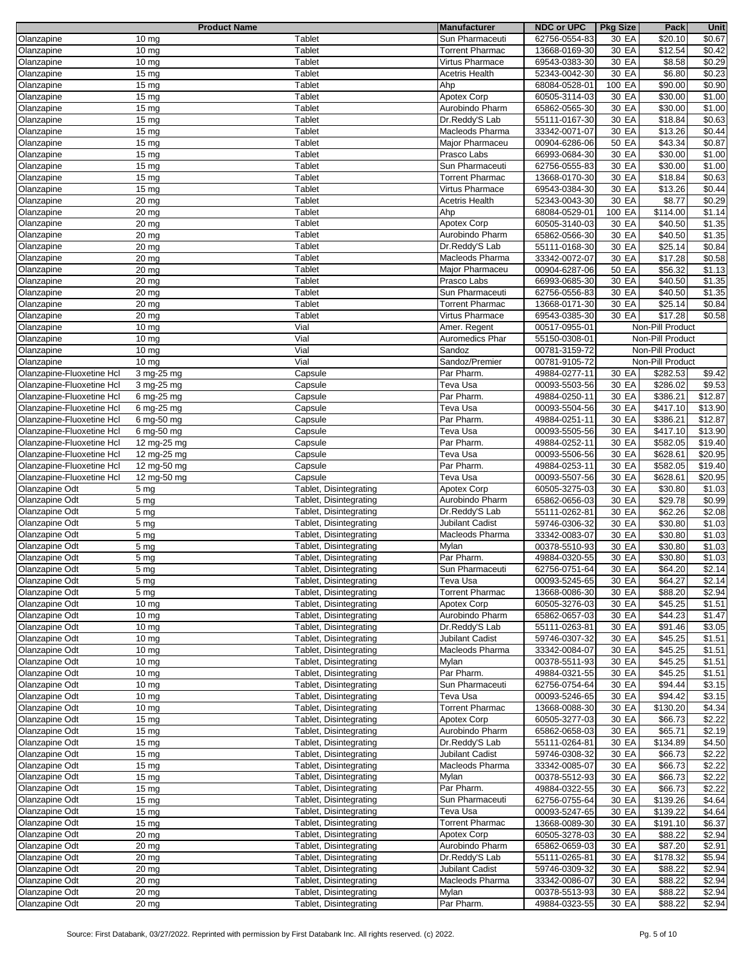|                           | <b>Product Name</b> |                        | <b>Manufacturer</b>    | <b>NDC or UPC</b> | <b>Pkg Size</b> | Pack             | Unit               |
|---------------------------|---------------------|------------------------|------------------------|-------------------|-----------------|------------------|--------------------|
| Olanzapine                | 10 <sub>mg</sub>    | Tablet                 | Sun Pharmaceuti        | 62756-0554-83     | 30 EA           | \$20.10          | \$0.67             |
| Olanzapine                | $10 \text{ mg}$     | Tablet                 | <b>Torrent Pharmac</b> | 13668-0169-30     | 30 EA           | \$12.54          | \$0.42             |
| Olanzapine                | 10 <sub>mg</sub>    | Tablet                 | Virtus Pharmace        | 69543-0383-30     | 30 EA           | \$8.58           | \$0.29             |
|                           |                     |                        |                        |                   |                 |                  |                    |
| Olanzapine                | 15 <sub>mg</sub>    | Tablet                 | <b>Acetris Health</b>  | 52343-0042-30     | 30 EA           | \$6.80           | \$0.23             |
| Olanzapine                | 15 <sub>mg</sub>    | Tablet                 | Ahp                    | 68084-0528-01     | 100 EA          | \$90.00          | \$0.90             |
| Olanzapine                | 15 <sub>mg</sub>    | Tablet                 | <b>Apotex Corp</b>     | 60505-3114-03     | 30 EA           | \$30.00          | \$1.00             |
| Olanzapine                | 15 <sub>mg</sub>    | Tablet                 | Aurobindo Pharm        | 65862-0565-30     | 30 EA           | \$30.00          | \$1.00             |
| Olanzapine                | 15 <sub>mg</sub>    | Tablet                 | Dr.Reddy'S Lab         | 55111-0167-30     | 30 EA           | \$18.84          | \$0.63             |
|                           |                     |                        |                        |                   |                 |                  |                    |
| Olanzapine                | 15 mg               | Tablet                 | Macleods Pharma        | 33342-0071-07     | 30 EA           | \$13.26          | $\overline{$}0.44$ |
| Olanzapine                | 15 mg               | Tablet                 | Major Pharmaceu        | 00904-6286-06     | 50 EA           | \$43.34          | \$0.87             |
| Olanzapine                | 15 <sub>mg</sub>    | Tablet                 | Prasco Labs            | 66993-0684-30     | 30 EA           | \$30.00          | \$1.00             |
| Olanzapine                | 15 <sub>mg</sub>    | Tablet                 | Sun Pharmaceuti        | 62756-0555-83     | 30 EA           | \$30.00          | \$1.00             |
| Olanzapine                | 15 mg               | Tablet                 | <b>Torrent Pharmac</b> | 13668-0170-30     | 30 EA           | \$18.84          | \$0.63             |
| Olanzapine                | 15 <sub>mg</sub>    | Tablet                 | Virtus Pharmace        | 69543-0384-30     | 30 EA           | \$13.26          | \$0.44             |
|                           |                     |                        |                        |                   |                 |                  |                    |
| Olanzapine                | 20 mg               | Tablet                 | <b>Acetris Health</b>  | 52343-0043-30     | 30 EA           | \$8.77           | \$0.29             |
| Olanzapine                | 20 mg               | Tablet                 | Ahp                    | 68084-0529-01     | 100 EA          | \$114.00         | \$1.14             |
| Olanzapine                | 20 mg               | Tablet                 | Apotex Corp            | 60505-3140-03     | 30 EA           | \$40.50          | \$1.35             |
| Olanzapine                | 20 mg               | Tablet                 | Aurobindo Pharm        | 65862-0566-30     | 30 EA           | \$40.50          | \$1.35             |
| Olanzapine                | 20 mg               | Tablet                 | Dr.Reddy'S Lab         | 55111-0168-30     | 30 EA           | \$25.14          | \$0.84             |
|                           |                     |                        |                        |                   |                 |                  |                    |
| Olanzapine                | 20 mg               | Tablet                 | Macleods Pharma        | 33342-0072-07     | 30 EA           | \$17.28          | 50.58              |
| Olanzapine                | 20 mg               | Tablet                 | Major Pharmaceu        | 00904-6287-06     | 50 EA           | \$56.32          | \$1.13             |
| Olanzapine                | $20$ mg             | Tablet                 | Prasco Labs            | 66993-0685-30     | 30 EA           | \$40.50          | \$1.35             |
| Olanzapine                | $20$ mg             | Tablet                 | Sun Pharmaceuti        | 62756-0556-83     | 30 EA           | \$40.50          | \$1.35             |
| Olanzapine                | $20$ mg             | Tablet                 | <b>Torrent Pharmac</b> | 13668-0171-30     | 30 EA           | \$25.14          | \$0.84             |
|                           |                     |                        |                        |                   |                 |                  |                    |
| Olanzapine                | 20 mg               | Tablet                 | Virtus Pharmace        | 69543-0385-30     | 30 EA           | \$17.28          | \$0.58             |
| Olanzapine                | 10 <sub>mg</sub>    | Vial                   | Amer. Regent           | 00517-0955-01     |                 | Non-Pill Product |                    |
| Olanzapine                | 10 mg               | Vial                   | <b>Auromedics Phar</b> | 55150-0308-01     |                 | Non-Pill Product |                    |
| Olanzapine                | 10 <sub>mg</sub>    | Vial                   | Sandoz                 | 00781-3159-72     |                 | Non-Pill Product |                    |
| Olanzapine                |                     | Vial                   | Sandoz/Premier         | 00781-9105-72     |                 | Non-Pill Product |                    |
|                           | $10 \text{ mg}$     |                        |                        |                   |                 |                  |                    |
| Olanzapine-Fluoxetine Hcl | 3 mg-25 mg          | Capsule                | Par Pharm.             | 49884-0277-11     | 30 EA           | \$282.53         | \$9.42             |
| Olanzapine-Fluoxetine Hcl | 3 mg-25 mg          | Capsule                | Teva Usa               | 00093-5503-56     | 30 EA           | \$286.02         | \$9.53             |
| Olanzapine-Fluoxetine Hcl | 6 mg-25 mg          | Capsule                | Par Pharm.             | 49884-0250-11     | 30 EA           | \$386.21         | \$12.87            |
| Olanzapine-Fluoxetine Hcl | 6 mg-25 mg          | Capsule                | Teva Usa               | 00093-5504-56     | 30 EA           | \$417.10         | \$13.90            |
| Olanzapine-Fluoxetine Hcl | 6 mg-50 mg          | Capsule                | Par Pharm.             | 49884-0251-11     | 30 EA           | \$386.21         | \$12.87            |
|                           |                     |                        |                        |                   |                 |                  |                    |
| Olanzapine-Fluoxetine Hcl | 6 mg-50 mg          | Capsule                | Teva Usa               | 00093-5505-56     | 30 EA           | \$417.10         | \$13.90            |
| Olanzapine-Fluoxetine Hcl | 12 mg-25 mg         | Capsule                | Par Pharm.             | 49884-0252-11     | 30 EA           | \$582.05         | \$19.40            |
| Olanzapine-Fluoxetine Hcl | 12 mg-25 mg         | Capsule                | Teva Usa               | 00093-5506-56     | 30 EA           | \$628.61         | \$20.95            |
| Olanzapine-Fluoxetine Hcl | 12 mg-50 mg         | Capsule                | Par Pharm.             | 49884-0253-11     | 30 EA           | \$582.05         | \$19.40            |
| Olanzapine-Fluoxetine Hcl | 12 mg-50 mg         | Capsule                | Teva Usa               | 00093-5507-56     | 30 EA           | \$628.61         | \$20.95            |
|                           |                     |                        |                        |                   |                 |                  |                    |
| Olanzapine Odt            | 5 mg                | Tablet, Disintegrating | Apotex Corp            | 60505-3275-03     | 30 EA           | \$30.80          | \$1.03             |
| Olanzapine Odt            | 5 <sub>mg</sub>     | Tablet, Disintegrating | Aurobindo Pharm        | 65862-0656-03     | 30 EA           | \$29.78          | \$0.99             |
| Olanzapine Odt            | 5 <sub>mg</sub>     | Tablet, Disintegrating | Dr.Reddy'S Lab         | 55111-0262-81     | 30 EA           | \$62.26          | \$2.08             |
| Olanzapine Odt            | 5 <sub>mg</sub>     | Tablet, Disintegrating | Jubilant Cadist        | 59746-0306-32     | 30 EA           | \$30.80          | \$1.03             |
| Olanzapine Odt            | 5 <sub>mg</sub>     | Tablet, Disintegrating | Macleods Pharma        | 33342-0083-07     | 30 EA           | \$30.80          | \$1.03             |
|                           |                     |                        |                        |                   |                 |                  |                    |
| Olanzapine Odt            | 5 <sub>mg</sub>     | Tablet, Disintegrating | Mylan                  | 00378-5510-93     | 30 EA           | \$30.80          | \$1.03             |
| Olanzapine Odt            | 5 <sub>mg</sub>     | Tablet, Disintegrating | Par Pharm.             | 49884-0320-55     | 30 EA           | \$30.80          | \$1.03             |
| Olanzapine Odt            | 5 mg                | Tablet, Disintegrating | Sun Pharmaceuti        | 62756-0751-64     | 30 EA           | \$64.20          | \$2.14             |
| Olanzapine Odt            | 5 <sub>mg</sub>     | Tablet, Disintegrating | Teva Usa               | 00093-5245-65     | 30 EA           | \$64.27          | \$2.14             |
| Olanzapine Odt            | 5 mg                | Tablet, Disintegrating | <b>Torrent Pharmac</b> | 13668-0086-30     | 30 EA           | \$88.20          | \$2.94             |
|                           |                     |                        |                        |                   |                 |                  |                    |
| Olanzapine Odt            | $10 \text{ mg}$     | Tablet, Disintegrating | Apotex Corp            | 60505-3276-03     | 30 EA           | \$45.25          | \$1.51             |
| Olanzapine Odt            | 10 <sub>mg</sub>    | Tablet, Disintegrating | Aurobindo Pharm        | 65862-0657-03     | 30 EA           | \$44.23          | \$1.47             |
| Olanzapine Odt            | $10 \text{ mg}$     | Tablet, Disintegrating | Dr.Reddy'S Lab         | 55111-0263-81     | 30 EA           | \$91.46          | \$3.05             |
| Olanzapine Odt            | $10 \, mg$          | Tablet, Disintegrating | <b>Jubilant Cadist</b> | 59746-0307-32     | 30 EA           | \$45.25          | \$1.51             |
| Olanzapine Odt            | 10 <sub>mg</sub>    | Tablet, Disintegrating | Macleods Pharma        | 33342-0084-07     | 30 EA           | \$45.25          | \$1.51             |
| Olanzapine Odt            | $10 \text{ mg}$     | Tablet, Disintegrating | Mylan                  | 00378-5511-93     | 30 EA           | \$45.25          | \$1.51             |
|                           |                     |                        |                        |                   |                 |                  |                    |
| Olanzapine Odt            | $10 \mathrm{mg}$    | Tablet, Disintegrating | Par Pharm.             | 49884-0321-55     | 30 EA           | \$45.25          | \$1.51             |
| Olanzapine Odt            | 10 <sub>mg</sub>    | Tablet, Disintegrating | Sun Pharmaceuti        | 62756-0754-64     | 30 EA           | \$94.44          | \$3.15             |
| Olanzapine Odt            | $10 \text{ mg}$     | Tablet, Disintegrating | Teva Usa               | 00093-5246-65     | 30 EA           | \$94.42          | \$3.15             |
| Olanzapine Odt            | $10 \mathrm{mg}$    | Tablet, Disintegrating | Torrent Pharmac        | 13668-0088-30     | 30 EA           | \$130.20         | \$4.34             |
| Olanzapine Odt            |                     | Tablet, Disintegrating | <b>Apotex Corp</b>     |                   |                 |                  |                    |
|                           | 15 <sub>mg</sub>    |                        |                        | 60505-3277-03     | 30 EA           | \$66.73          | \$2.22             |
| Olanzapine Odt            | 15 <sub>mg</sub>    | Tablet, Disintegrating | Aurobindo Pharm        | 65862-0658-03     | 30 EA           | \$65.71          | \$2.19             |
| Olanzapine Odt            | $15 \text{ mg}$     | Tablet, Disintegrating | Dr.Reddy'S Lab         | 55111-0264-81     | 30 EA           | \$134.89         | \$4.50             |
| Olanzapine Odt            | 15 <sub>mg</sub>    | Tablet, Disintegrating | Jubilant Cadist        | 59746-0308-32     | 30 EA           | \$66.73          | \$2.22             |
| Olanzapine Odt            | 15 <sub>mg</sub>    | Tablet, Disintegrating | Macleods Pharma        | 33342-0085-07     | 30 EA           | \$66.73          | \$2.22             |
| Olanzapine Odt            | 15 <sub>mg</sub>    | Tablet, Disintegrating | Mylan                  | 00378-5512-93     | 30 EA           | \$66.73          | \$2.22             |
|                           |                     |                        |                        |                   |                 |                  |                    |
| Olanzapine Odt            | 15 <sub>mg</sub>    | Tablet, Disintegrating | Par Pharm.             | 49884-0322-55     | 30 EA           | \$66.73          | \$2.22             |
| Olanzapine Odt            | $15 \text{ mg}$     | Tablet, Disintegrating | Sun Pharmaceuti        | 62756-0755-64     | 30 EA           | \$139.26         | \$4.64             |
| Olanzapine Odt            | 15 <sub>mg</sub>    | Tablet, Disintegrating | Teva Usa               | 00093-5247-65     | 30 EA           | \$139.22         | \$4.64             |
| Olanzapine Odt            | $15 \text{ mg}$     | Tablet, Disintegrating | <b>Torrent Pharmac</b> | 13668-0089-30     | 30 EA           | \$191.10         | \$6.37             |
| Olanzapine Odt            | 20 mg               | Tablet, Disintegrating | Apotex Corp            | 60505-3278-03     | 30 EA           | \$88.22          | \$2.94             |
| Olanzapine Odt            |                     |                        | Aurobindo Pharm        |                   |                 |                  |                    |
|                           | 20 mg               | Tablet, Disintegrating |                        | 65862-0659-03     | 30 EA           | \$87.20          | \$2.91             |
| Olanzapine Odt            | 20 <sub>mg</sub>    | Tablet, Disintegrating | Dr.Reddy'S Lab         | 55111-0265-81     | 30 EA           | \$178.32         | \$5.94             |
| Olanzapine Odt            | 20 mg               | Tablet, Disintegrating | Jubilant Cadist        | 59746-0309-32     | 30 EA           | \$88.22          | \$2.94             |
| Olanzapine Odt            | 20 mg               | Tablet, Disintegrating | Macleods Pharma        | 33342-0086-07     | 30 EA           | \$88.22          | \$2.94             |
| Olanzapine Odt            | 20 mg               | Tablet, Disintegrating | Mylan                  | 00378-5513-93     | 30 EA           | \$88.22          | \$2.94             |
|                           |                     |                        |                        |                   |                 |                  |                    |
| Olanzapine Odt            | $\overline{20}$ mg  | Tablet, Disintegrating | Par Pharm.             | 49884-0323-55     | 30 EA           | \$88.22          | \$2.94             |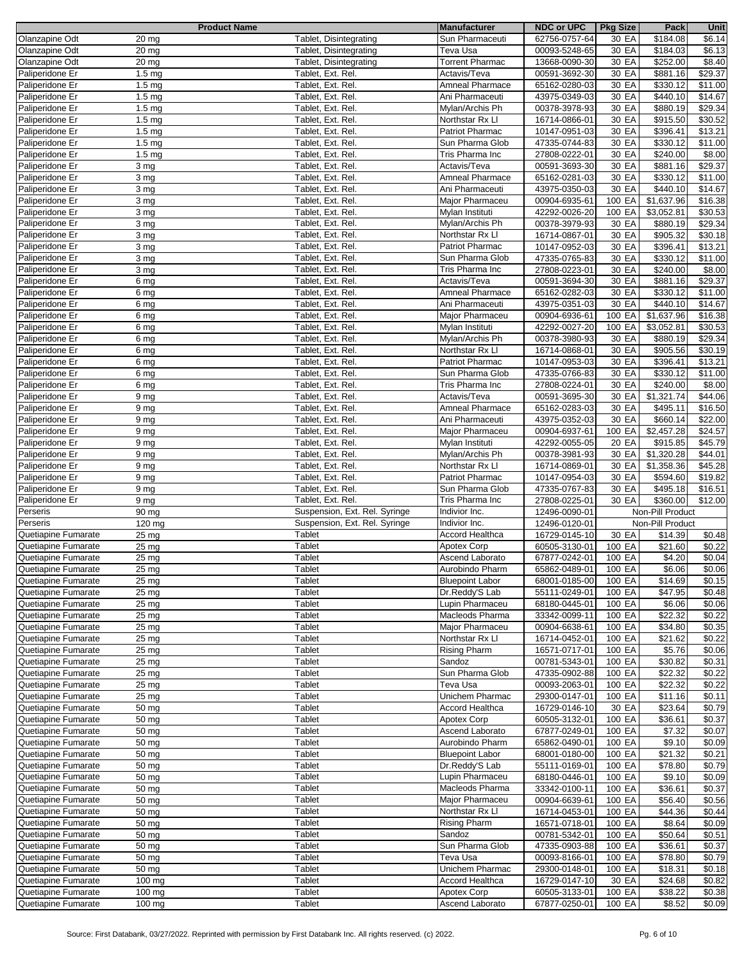|                     | <b>Product Name</b> |                               | <b>Manufacturer</b>    | <b>NDC or UPC</b> | <b>Pkg Size</b> | Pack             | Unit    |
|---------------------|---------------------|-------------------------------|------------------------|-------------------|-----------------|------------------|---------|
| Olanzapine Odt      | 20 mg               | Tablet, Disintegrating        | Sun Pharmaceuti        | 62756-0757-64     | 30 EA           | \$184.08         | \$6.14  |
| Olanzapine Odt      | $20$ mg             | Tablet, Disintegrating        | Teva Usa               | 00093-5248-65     | 30 EA           | \$184.03         | \$6.13  |
| Olanzapine Odt      | $\overline{20}$ mg  | Tablet, Disintegrating        | <b>Torrent Pharmac</b> | 13668-0090-30     | 30 EA           | \$252.00         | \$8.40  |
| Paliperidone Er     | 1.5 <sub>mg</sub>   | Tablet, Ext. Rel.             | Actavis/Teva           | 00591-3692-30     | 30 EA           | \$881.16         | \$29.37 |
| Paliperidone Er     | 1.5 <sub>mg</sub>   | Tablet, Ext. Rel.             | <b>Amneal Pharmace</b> | 65162-0280-03     | 30 EA           | \$330.12         | \$11.00 |
|                     |                     |                               |                        |                   |                 |                  |         |
| Paliperidone Er     | 1.5 <sub>mg</sub>   | Tablet, Ext. Rel.             | Ani Pharmaceuti        | 43975-0349-03     | 30 EA           | \$440.10         | \$14.67 |
| Paliperidone Er     | $1.5 \text{ mg}$    | Tablet, Ext. Rel.             | Mylan/Archis Ph        | 00378-3978-93     | 30 EA           | \$880.19         | \$29.34 |
| Paliperidone Er     | 1.5 <sub>mg</sub>   | Tablet, Ext. Rel.             | Northstar Rx Ll        | 16714-0866-01     | 30 EA           | \$915.50         | \$30.52 |
| Paliperidone Er     | 1.5 <sub>mg</sub>   | Tablet, Ext. Rel.             | <b>Patriot Pharmac</b> | 10147-0951-03     | 30 EA           | 3396.41          | \$13.21 |
| Paliperidone Er     | 1.5 <sub>mg</sub>   | Tablet, Ext. Rel.             | Sun Pharma Glob        | 47335-0744-83     | 30 EA           | \$330.12         | \$11.00 |
| Paliperidone Er     | 1.5 <sub>mg</sub>   | Tablet, Ext. Rel.             | Tris Pharma Inc        | 27808-0222-01     | 30 EA           | \$240.00         | \$8.00  |
| Paliperidone Er     | 3 mg                | Tablet, Ext. Rel.             | Actavis/Teva           | 00591-3693-30     | 30 EA           | \$881.16         | \$29.37 |
| Paliperidone Er     | 3 mg                | Tablet, Ext. Rel.             | Amneal Pharmace        | 65162-0281-03     | 30 EA           | \$330.12         | \$11.00 |
| Paliperidone Er     | 3 mg                | Tablet, Ext. Rel.             | Ani Pharmaceuti        | 43975-0350-03     | 30 EA           | \$440.10         | \$14.67 |
|                     |                     |                               |                        |                   |                 |                  |         |
| Paliperidone Er     | 3 mg                | Tablet, Ext. Rel.             | Major Pharmaceu        | 00904-6935-61     | 100 EA          | \$1,637.96       | \$16.38 |
| Paliperidone Er     | 3 mg                | Tablet, Ext. Rel.             | Mylan Instituti        | 42292-0026-20     | 100 EA          | \$3,052.81       | \$30.53 |
| Paliperidone Er     | 3 mg                | Tablet, Ext. Rel.             | Mylan/Archis Ph        | 00378-3979-93     | 30 EA           | \$880.19         | \$29.34 |
| Paliperidone Er     | 3 mg                | Tablet, Ext. Rel.             | Northstar Rx Ll        | 16714-0867-01     | 30 EA           | \$905.32         | \$30.18 |
| Paliperidone Er     | 3 mg                | Tablet, Ext. Rel.             | Patriot Pharmac        | 10147-0952-03     | 30 EA           | \$396.41         | \$13.21 |
| Paliperidone Er     | 3 mg                | Tablet, Ext. Rel.             | Sun Pharma Glob        | 47335-0765-83     | 30 EA           | \$330.12         | \$11.00 |
| Paliperidone Er     | 3 <sub>mg</sub>     | Tablet, Ext. Rel.             | Tris Pharma Inc        | 27808-0223-01     | 30 EA           | \$240.00         | \$8.00  |
| Paliperidone Er     | 6 mg                | Tablet, Ext. Rel.             | Actavis/Teva           | 00591-3694-30     | 30 EA           | \$881.16         | \$29.37 |
| Paliperidone Er     | 6 mg                | Tablet, Ext. Rel.             | <b>Amneal Pharmace</b> | 65162-0282-03     | 30 EA           | \$330.12         | \$11.00 |
|                     |                     |                               |                        |                   |                 |                  |         |
| Paliperidone Er     | 6 mg                | Tablet, Ext. Rel.             | Ani Pharmaceuti        | 43975-0351-03     | 30 EA           | \$440.10         | \$14.67 |
| Paliperidone Er     | 6 mg                | Tablet, Ext. Rel.             | Major Pharmaceu        | 00904-6936-61     | 100 EA          | \$1,637.96       | \$16.38 |
| Paliperidone Er     | 6 mg                | Tablet, Ext. Rel.             | Mylan Instituti        | 42292-0027-20     | 100 EA          | \$3,052.81       | \$30.53 |
| Paliperidone Er     | 6 mg                | Tablet, Ext. Rel.             | Mylan/Archis Ph        | 00378-3980-93     | 30 EA           | \$880.19         | \$29.34 |
| Paliperidone Er     | 6 mg                | Tablet, Ext. Rel.             | Northstar Rx Ll        | 16714-0868-01     | 30 EA           | \$905.56         | \$30.19 |
| Paliperidone Er     | 6 mg                | Tablet, Ext. Rel.             | Patriot Pharmac        | 10147-0953-03     | 30 EA           | \$396.41         | \$13.21 |
| Paliperidone Er     | 6 mg                | Tablet, Ext. Rel.             | Sun Pharma Glob        | 47335-0766-83     | 30 EA           | \$330.12         | \$11.00 |
| Paliperidone Er     | 6 mg                | Tablet, Ext. Rel.             | Tris Pharma Inc        | 27808-0224-01     | 30 EA           | \$240.00         | \$8.00  |
| Paliperidone Er     | 9 <sub>mg</sub>     | Tablet, Ext. Rel.             | Actavis/Teva           | 00591-3695-30     | 30 EA           | \$1,321.74       | \$44.06 |
|                     |                     |                               |                        |                   |                 |                  |         |
| Paliperidone Er     | 9 mg                | Tablet, Ext. Rel.             | Amneal Pharmace        | 65162-0283-03     | 30 EA           | \$495.11         | \$16.50 |
| Paliperidone Er     | 9 mg                | Tablet, Ext. Rel.             | Ani Pharmaceuti        | 43975-0352-03     | 30 EA           | \$660.14         | \$22.00 |
| Paliperidone Er     | 9 <sub>mg</sub>     | Tablet, Ext. Rel.             | Major Pharmaceu        | 00904-6937-61     | 100 EA          | \$2,457.28       | \$24.57 |
| Paliperidone Er     | 9 <sub>mg</sub>     | Tablet, Ext. Rel.             | Mylan Instituti        | 42292-0055-05     | 20 EA           | \$915.85         | \$45.79 |
| Paliperidone Er     | 9 mg                | Tablet, Ext. Rel.             | Mylan/Archis Ph        | 00378-3981-93     | 30 EA           | \$1,320.28       | \$44.01 |
| Paliperidone Er     | 9 <sub>mg</sub>     | Tablet, Ext. Rel.             | Northstar Rx Ll        | 16714-0869-01     | 30 EA           | \$1,358.36       | \$45.28 |
| Paliperidone Er     | 9 <sub>mg</sub>     | Tablet, Ext. Rel.             | Patriot Pharmac        | 10147-0954-03     | 30 EA           | \$594.60         | \$19.82 |
| Paliperidone Er     | 9 <sub>mg</sub>     | Tablet, Ext. Rel.             | Sun Pharma Glob        | 47335-0767-83     | 30 EA           | \$495.18         | \$16.51 |
| Paliperidone Er     | 9 <sub>mg</sub>     | Tablet, Ext. Rel.             | Tris Pharma Inc        | 27808-0225-01     | 30 EA           | \$360.00         | \$12.00 |
|                     |                     |                               |                        | 12496-0090-01     |                 | Non-Pill Product |         |
| Perseris            | 90 mg               | Suspension, Ext. Rel. Syringe | Indivior Inc.          |                   |                 |                  |         |
| Perseris            | 120 mg              | Suspension, Ext. Rel. Syringe | Indivior Inc.          | 12496-0120-01     |                 | Non-Pill Product |         |
| Quetiapine Fumarate | 25 mg               | Tablet                        | Accord Healthca        | 16729-0145-10     | 30 EA           | \$14.39          | \$0.48  |
| Quetiapine Fumarate | $25 \text{ mg}$     | Tablet                        | Apotex Corp            | 60505-3130-01     | 100 EA          | \$21.60          | \$0.22  |
| Quetiapine Fumarate | $25 \text{ mg}$     | Tablet                        | Ascend Laborato        | 67877-0242-01     | 100 EA          | \$4.20           | \$0.04  |
| Quetiapine Fumarate | 25 mg               | Tablet                        | Aurobindo Pharm        | 65862-0489-01     | 100 EA          | \$6.06           | \$0.06  |
| Quetiapine Fumarate | $25 \text{ mg}$     | Tablet                        | <b>Bluepoint Labor</b> | 68001-0185-00     | 100 EA          | \$14.69          | \$0.15  |
| Quetiapine Fumarate | $25 \text{ mg}$     | Tablet                        | Dr.Reddy'S Lab         | 55111-0249-01     | 100 EA          | \$47.95          | \$0.48  |
| Quetiapine Fumarate | $25 \text{ mg}$     | Tablet                        | Lupin Pharmaceu        | 68180-0445-01     | 100 EA          | \$6.06           | \$0.06  |
|                     |                     |                               |                        |                   |                 |                  |         |
| Quetiapine Fumarate | 25 mg               | Tablet                        | Macleods Pharma        | 33342-0099-11     | 100 EA          | \$22.32          | \$0.22  |
| Quetiapine Fumarate | $25 \text{ mg}$     | Tablet                        | Major Pharmaceu        | 00904-6638-61     | 100 EA          | \$34.80          | \$0.35  |
| Quetiapine Fumarate | $25 \text{ mg}$     | Tablet                        | Northstar Rx LI        | 16714-0452-01     | 100 EA          | \$21.62          | \$0.22  |
| Quetiapine Fumarate | $\overline{25}$ mg  | Tablet                        | <b>Rising Pharm</b>    | 16571-0717-01     | 100 EA          | \$5.76           | \$0.06  |
| Quetiapine Fumarate | $25 \text{ mg}$     | Tablet                        | Sandoz                 | 00781-5343-01     | 100 EA          | \$30.82          | \$0.31  |
| Quetiapine Fumarate | 25 mg               | Tablet                        | Sun Pharma Glob        | 47335-0902-88     | 100 EA          | \$22.32          | \$0.22  |
| Quetiapine Fumarate | $25 \text{ mg}$     | Tablet                        | Teva Usa               | 00093-2063-01     | 100 EA          | \$22.32          | \$0.22  |
| Quetiapine Fumarate | 25 mg               | Tablet                        | Unichem Pharmac        | 29300-0147-01     | 100 EA          | \$11.16          | \$0.11  |
| Quetiapine Fumarate | 50 mg               | Tablet                        | Accord Healthca        | 16729-0146-10     | 30 EA           | \$23.64          | \$0.79  |
| Quetiapine Fumarate | 50 mg               | Tablet                        | Apotex Corp            | 60505-3132-01     | 100 EA          | \$36.61          | \$0.37  |
|                     |                     |                               |                        |                   |                 |                  |         |
| Quetiapine Fumarate | 50 mg               | Tablet                        | Ascend Laborato        | 67877-0249-01     | 100 EA          | \$7.32           | \$0.07  |
| Quetiapine Fumarate | $\overline{50}$ mg  | Tablet                        | Aurobindo Pharm        | 65862-0490-01     | 100 EA          | \$9.10           | \$0.09  |
| Quetiapine Fumarate | 50 mg               | Tablet                        | <b>Bluepoint Labor</b> | 68001-0180-00     | 100 EA          | \$21.32          | \$0.21  |
| Quetiapine Fumarate | 50 mg               | Tablet                        | Dr.Reddy'S Lab         | 55111-0169-01     | 100 EA          | \$78.80          | \$0.79  |
| Quetiapine Fumarate | 50 mg               | Tablet                        | Lupin Pharmaceu        | 68180-0446-01     | 100 EA          | \$9.10           | \$0.09  |
| Quetiapine Fumarate | 50 mg               | Tablet                        | Macleods Pharma        | 33342-0100-11     | 100 EA          | \$36.61          | \$0.37  |
| Quetiapine Fumarate | 50 mg               | Tablet                        | Major Pharmaceu        | 00904-6639-61     | 100 EA          | \$56.40          | \$0.56  |
| Quetiapine Fumarate | 50 mg               | Tablet                        | Northstar Rx Ll        | 16714-0453-01     | 100 EA          | \$44.36          | \$0.44  |
|                     |                     |                               |                        |                   |                 |                  |         |
| Quetiapine Fumarate | 50 mg               | Tablet                        | <b>Rising Pharm</b>    | 16571-0718-01     | 100 EA          | \$8.64           | \$0.09  |
| Quetiapine Fumarate | 50 mg               | Tablet                        | Sandoz                 | 00781-5342-01     | 100 EA          | \$50.64          | \$0.51  |
| Quetiapine Fumarate | 50 mg               | Tablet                        | Sun Pharma Glob        | 47335-0903-88     | 100 EA          | \$36.61          | \$0.37  |
| Quetiapine Fumarate | 50 mg               | Tablet                        | Teva Usa               | 00093-8166-01     | 100 EA          | \$78.80          | \$0.79  |
| Quetiapine Fumarate | 50 mg               | Tablet                        | Unichem Pharmac        | 29300-0148-01     | 100 EA          | \$18.31          | \$0.18  |
| Quetiapine Fumarate | $100$ mg            | Tablet                        | <b>Accord Healthca</b> | 16729-0147-10     | 30 EA           | \$24.68          | \$0.82  |
| Quetiapine Fumarate | 100 mg              | Tablet                        | Apotex Corp            | 60505-3133-01     | 100 EA          | \$38.22          | \$0.38  |
| Quetiapine Fumarate | 100 mg              | Tablet                        | Ascend Laborato        | 67877-0250-01     | 100 EA          | \$8.52           | \$0.09  |
|                     |                     |                               |                        |                   |                 |                  |         |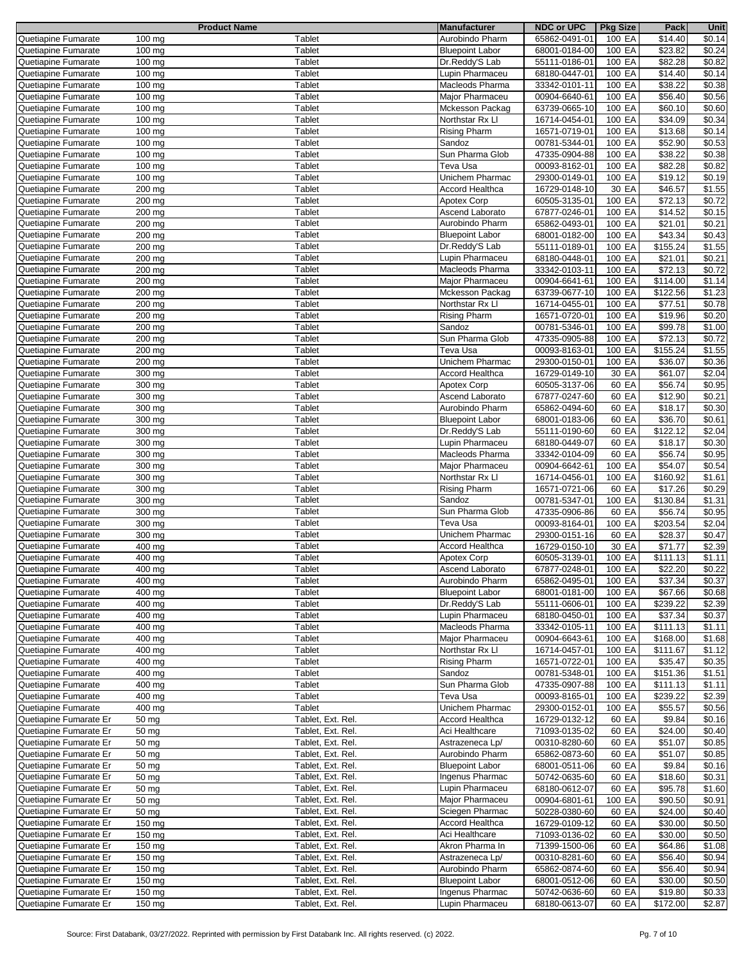|                        | <b>Product Name</b> |                   | <b>Manufacturer</b>    | <b>NDC or UPC</b> | <b>Pkg Size</b> | Pack     | Unit                |
|------------------------|---------------------|-------------------|------------------------|-------------------|-----------------|----------|---------------------|
| Quetiapine Fumarate    | 100 mg              | Tablet            | Aurobindo Pharm        | 65862-0491-01     | 100 EA          | \$14.40  | $\sqrt{$0.14}$      |
| Quetiapine Fumarate    | 100 mg              | Tablet            | <b>Bluepoint Labor</b> | 68001-0184-00     | 100 EA          | \$23.82  | \$0.24              |
|                        | 100 mg              | Tablet            | Dr.Reddy'S Lab         |                   | 100 EA          | \$82.28  | \$0.82              |
| Quetiapine Fumarate    |                     |                   |                        | 55111-0186-01     |                 |          |                     |
| Quetiapine Fumarate    | 100 mg              | Tablet            | Lupin Pharmaceu        | 68180-0447-01     | 100 EA          | \$14.40  | \$0.14              |
| Quetiapine Fumarate    | 100 mg              | Tablet            | Macleods Pharma        | 33342-0101-11     | 100 EA          | \$38.22  | \$0.38              |
| Quetiapine Fumarate    | $\overline{100}$ mg | Tablet            | Major Pharmaceu        | 00904-6640-61     | 100 EA          | \$56.40  | \$0.56              |
| Quetiapine Fumarate    | 100 mg              | Tablet            | Mckesson Packag        | 63739-0665-10     | 100 EA          | \$60.10  | \$0.60              |
| Quetiapine Fumarate    | 100 mg              | Tablet            | Northstar Rx Ll        | 16714-0454-01     | 100 EA          | \$34.09  | \$0.34              |
|                        |                     |                   |                        |                   |                 |          |                     |
| Quetiapine Fumarate    | 100 mg              | Tablet            | <b>Rising Pharm</b>    | 16571-0719-01     | 100 EA          | \$13.68  | \$0.14              |
| Quetiapine Fumarate    | 100 mg              | Tablet            | Sandoz                 | 00781-5344-01     | 100 EA          | \$52.90  | \$0.53              |
| Quetiapine Fumarate    | 100 mg              | Tablet            | Sun Pharma Glob        | 47335-0904-88     | 100 EA          | \$38.22  | \$0.38              |
| Quetiapine Fumarate    | $100 \text{ mg}$    | Tablet            | Teva Usa               | 00093-8162-01     | 100 EA          | \$82.28  | \$0.82              |
| Quetiapine Fumarate    | 100 mg              | Tablet            | Unichem Pharmac        | 29300-0149-01     | 100 EA          | \$19.12  | \$0.19              |
| Quetiapine Fumarate    | 200 mg              | Tablet            | Accord Healthca        | 16729-0148-10     | 30 EA           | \$46.57  | \$1.55              |
|                        |                     |                   |                        |                   |                 |          |                     |
| Quetiapine Fumarate    | 200 mg              | Tablet            | Apotex Corp            | 60505-3135-01     | 100 EA          | \$72.13  | $\sqrt{$0.72}$      |
| Quetiapine Fumarate    | $200 \,\mathrm{mg}$ | Tablet            | Ascend Laborato        | 67877-0246-01     | 100 EA          | \$14.52  | \$0.15              |
| Quetiapine Fumarate    | 200 mg              | Tablet            | Aurobindo Pharm        | 65862-0493-01     | 100 EA          | \$21.01  | \$0.21              |
| Quetiapine Fumarate    | 200 mg              | Tablet            | <b>Bluepoint Labor</b> | 68001-0182-00     | 100 EA          | \$43.34  | \$0.43              |
| Quetiapine Fumarate    | 200 mg              | Tablet            | Dr.Reddy'S Lab         | 55111-0189-01     | 100 EA          | \$155.24 | \$1.55              |
| Quetiapine Fumarate    | 200 mg              | Tablet            | Lupin Pharmaceu        | 68180-0448-01     | 100 EA          | \$21.01  | \$0.21              |
|                        |                     |                   |                        |                   |                 |          |                     |
| Quetiapine Fumarate    | 200 mg              | Tablet            | Macleods Pharma        | 33342-0103-11     | 100 EA          | \$72.13  | \$0.72              |
| Quetiapine Fumarate    | 200 mg              | Tablet            | Major Pharmaceu        | 00904-6641-61     | 100 EA          | \$114.00 | $\overline{\$1.14}$ |
| Quetiapine Fumarate    | 200 mg              | Tablet            | <b>Mckesson Packag</b> | 63739-0677-10     | 100 EA          | \$122.56 | \$1.23              |
| Quetiapine Fumarate    | $\overline{200}$ mg | Tablet            | Northstar Rx Ll        | 16714-0455-01     | 100 EA          | \$77.51  | \$0.78              |
| Quetiapine Fumarate    | 200 mg              | Tablet            | <b>Rising Pharm</b>    | 16571-0720-01     | 100 EA          | \$19.96  | \$0.20              |
|                        |                     |                   |                        |                   |                 |          |                     |
| Quetiapine Fumarate    | 200 mg              | Tablet            | Sandoz                 | 00781-5346-01     | 100 EA          | \$99.78  | \$1.00              |
| Quetiapine Fumarate    | 200 mg              | Tablet            | Sun Pharma Glob        | 47335-0905-88     | 100 EA          | \$72.13  | \$0.72              |
| Quetiapine Fumarate    | 200 mg              | Tablet            | Teva Usa               | 00093-8163-01     | 100 EA          | \$155.24 | \$1.55              |
| Quetiapine Fumarate    | 200 mg              | Tablet            | Unichem Pharmac        | 29300-0150-01     | 100 EA          | \$36.07  | \$0.36              |
| Quetiapine Fumarate    | $\overline{300}$ mg | Tablet            | Accord Healthca        | 16729-0149-10     | 30 EA           | \$61.07  | \$2.04              |
| Quetiapine Fumarate    | $\overline{300}$ mg | Tablet            | Apotex Corp            | 60505-3137-06     | 60 EA           | \$56.74  | \$0.95              |
|                        |                     |                   |                        |                   |                 |          |                     |
| Quetiapine Fumarate    | 300 mg              | Tablet            | Ascend Laborato        | 67877-0247-60     | 60 EA           | \$12.90  | \$0.21              |
| Quetiapine Fumarate    | 300 mg              | Tablet            | Aurobindo Pharm        | 65862-0494-60     | 60 EA           | \$18.17  | \$0.30              |
| Quetiapine Fumarate    | 300 mg              | Tablet            | <b>Bluepoint Labor</b> | 68001-0183-06     | 60 EA           | \$36.70  | \$0.61              |
| Quetiapine Fumarate    | 300 mg              | Tablet            | Dr.Reddy'S Lab         | 55111-0190-60     | 60 EA           | \$122.12 | \$2.04              |
| Quetiapine Fumarate    | 300 mg              | Tablet            | Lupin Pharmaceu        | 68180-0449-07     | 60 EA           | \$18.17  | \$0.30              |
| Quetiapine Fumarate    | $\overline{300}$ mg | Tablet            | Macleods Pharma        | 33342-0104-09     | 60 EA           | \$56.74  | \$0.95              |
|                        |                     |                   |                        |                   |                 |          |                     |
| Quetiapine Fumarate    | $300$ mg            | Tablet            | Major Pharmaceu        | 00904-6642-61     | 100 EA          | \$54.07  | \$0.54              |
| Quetiapine Fumarate    | 300 mg              | Tablet            | Northstar Rx Ll        | 16714-0456-01     | 100 EA          | \$160.92 | \$1.61              |
| Quetiapine Fumarate    | 300 mg              | Tablet            | <b>Rising Pharm</b>    | 16571-0721-06     | 60 EA           | \$17.26  | \$0.29              |
| Quetiapine Fumarate    | 300 mg              | <b>Tablet</b>     | Sandoz                 | 00781-5347-01     | 100 EA          | \$130.84 | \$1.31              |
| Quetiapine Fumarate    | 300 mg              | Tablet            | Sun Pharma Glob        | 47335-0906-86     | 60 EA           | \$56.74  | \$0.95              |
| Quetiapine Fumarate    | $300 \, \text{mg}$  | Tablet            | Teva Usa               | 00093-8164-01     | 100 EA          | \$203.54 | \$2.04              |
|                        |                     |                   |                        |                   |                 |          |                     |
| Quetiapine Fumarate    | 300 mg              | Tablet            | Unichem Pharmac        | 29300-0151-16     | 60 EA           | \$28.37  | \$0.47              |
| Quetiapine Fumarate    | 400 mg              | Tablet            | Accord Healthca        | 16729-0150-10     | 30 EA           | \$71.77  | $\sqrt{$2.39}$      |
| Quetiapine Fumarate    | 400 mg              | Tablet            | Apotex Corp            | 60505-3139-01     | 100 EA          | \$111.13 | \$1.11              |
| Quetiapine Fumarate    | 400 mg              | Tablet            | Ascend Laborato        | 67877-0248-01     | 100 EA          | \$22.20  | \$0.22              |
| Quetiapine Fumarate    | 400 mg              | Tablet            | Aurobindo Pharm        | 65862-0495-01     | 100 EA          | \$37.34  | \$0.37              |
| Quetiapine Fumarate    | 400 mg              | Tablet            |                        | 68001-0181-00     | 100 EA          | \$67.66  | \$0.68              |
|                        |                     |                   | <b>Bluepoint Labor</b> |                   |                 |          |                     |
| Quetiapine Fumarate    | 400 mg              | Tablet            | Dr.Reddy'S Lab         | 55111-0606-01     | 100 EA          | \$239.22 | \$2.39              |
| Quetiapine Fumarate    | 400 mg              | Tablet            | Lupin Pharmaceu        | 68180-0450-01     | 100 EA          | \$37.34  | \$0.37              |
| Quetiapine Fumarate    | 400 mg              | Tablet            | Macleods Pharma        | 33342-0105-11     | 100 EA          | \$111.13 | \$1.11              |
| Quetiapine Fumarate    | 400 mg              | Tablet            | Major Pharmaceu        | 00904-6643-61     | 100 EA          | \$168.00 | \$1.68              |
| Quetiapine Fumarate    | 400 mg              | Tablet            | Northstar Rx Ll        | 16714-0457-01     | 100 EA          | \$111.67 | \$1.12              |
| Quetiapine Fumarate    | 400 mg              | Tablet            | <b>Rising Pharm</b>    | 16571-0722-01     | 100 EA          | \$35.47  | \$0.35              |
|                        |                     |                   |                        |                   |                 |          |                     |
| Quetiapine Fumarate    | 400 mg              | Tablet            | Sandoz                 | 00781-5348-01     | 100 EA          | \$151.36 | \$1.51              |
| Quetiapine Fumarate    | 400 mg              | Tablet            | Sun Pharma Glob        | 47335-0907-88     | 100 EA          | \$111.13 | \$1.11              |
| Quetiapine Fumarate    | 400 mg              | Tablet            | Teva Usa               | 00093-8165-01     | 100 EA          | \$239.22 | \$2.39              |
| Quetiapine Fumarate    | 400 mg              | Tablet            | Unichem Pharmac        | 29300-0152-01     | 100 EA          | \$55.57  | \$0.56              |
| Quetiapine Fumarate Er | 50 mg               | Tablet, Ext. Rel. | Accord Healthca        | 16729-0132-12     | 60 EA           | \$9.84   | \$0.16              |
| Quetiapine Fumarate Er | 50 mg               | Tablet, Ext. Rel. | Aci Healthcare         | 71093-0135-02     | 60 EA           | \$24.00  | \$0.40              |
|                        |                     |                   |                        |                   |                 |          |                     |
| Quetiapine Fumarate Er | 50 mg               | Tablet, Ext. Rel. | Astrazeneca Lp/        | 00310-8280-60     | 60 EA           | \$51.07  | \$0.85              |
| Quetiapine Fumarate Er | 50 mg               | Tablet, Ext. Rel. | Aurobindo Pharm        | 65862-0873-60     | 60 EA           | \$51.07  | \$0.85              |
| Quetiapine Fumarate Er | 50 mg               | Tablet, Ext. Rel. | <b>Bluepoint Labor</b> | 68001-0511-06     | 60 EA           | \$9.84   | \$0.16              |
| Quetiapine Fumarate Er | 50 mg               | Tablet, Ext. Rel. | Ingenus Pharmac        | 50742-0635-60     | 60 EA           | \$18.60  | \$0.31              |
| Quetiapine Fumarate Er | 50 mg               | Tablet, Ext. Rel. | Lupin Pharmaceu        | 68180-0612-07     | 60 EA           | \$95.78  | \$1.60              |
| Quetiapine Fumarate Er | 50 mg               | Tablet, Ext. Rel. | Major Pharmaceu        | 00904-6801-61     | 100 EA          | \$90.50  | \$0.91              |
|                        |                     |                   |                        |                   |                 |          |                     |
| Quetiapine Fumarate Er | 50 mg               | Tablet, Ext. Rel. | Sciegen Pharmac        | 50228-0380-60     | 60 EA           | \$24.00  | \$0.40              |
| Quetiapine Fumarate Er | 150 mg              | Tablet, Ext. Rel. | Accord Healthca        | 16729-0109-12     | 60 EA           | \$30.00  | \$0.50              |
| Quetiapine Fumarate Er | 150 mg              | Tablet, Ext. Rel. | Aci Healthcare         | 71093-0136-02     | 60 EA           | \$30.00  | \$0.50              |
| Quetiapine Fumarate Er | 150 mg              | Tablet, Ext. Rel. | Akron Pharma In        | 71399-1500-06     | 60 EA           | \$64.86  | \$1.08              |
| Quetiapine Fumarate Er | 150 mg              | Tablet, Ext. Rel. | Astrazeneca Lp/        | 00310-8281-60     | 60 EA           | \$56.40  | \$0.94              |
|                        |                     |                   |                        |                   |                 |          |                     |
| Quetiapine Fumarate Er | 150 mg              | Tablet, Ext. Rel. | Aurobindo Pharm        | 65862-0874-60     | 60 EA           | \$56.40  | \$0.94              |
| Quetiapine Fumarate Er | $150$ mg            | Tablet, Ext. Rel. | <b>Bluepoint Labor</b> | 68001-0512-06     | 60 EA           | \$30.00  | \$0.50              |
| Quetiapine Fumarate Er | 150 mg              | Tablet, Ext. Rel. | Ingenus Pharmac        | 50742-0636-60     | 60 EA           | \$19.80  | \$0.33              |
| Quetiapine Fumarate Er | 150 mg              | Tablet, Ext. Rel. | Lupin Pharmaceu        | 68180-0613-07     | 60 EA           | \$172.00 | \$2.87              |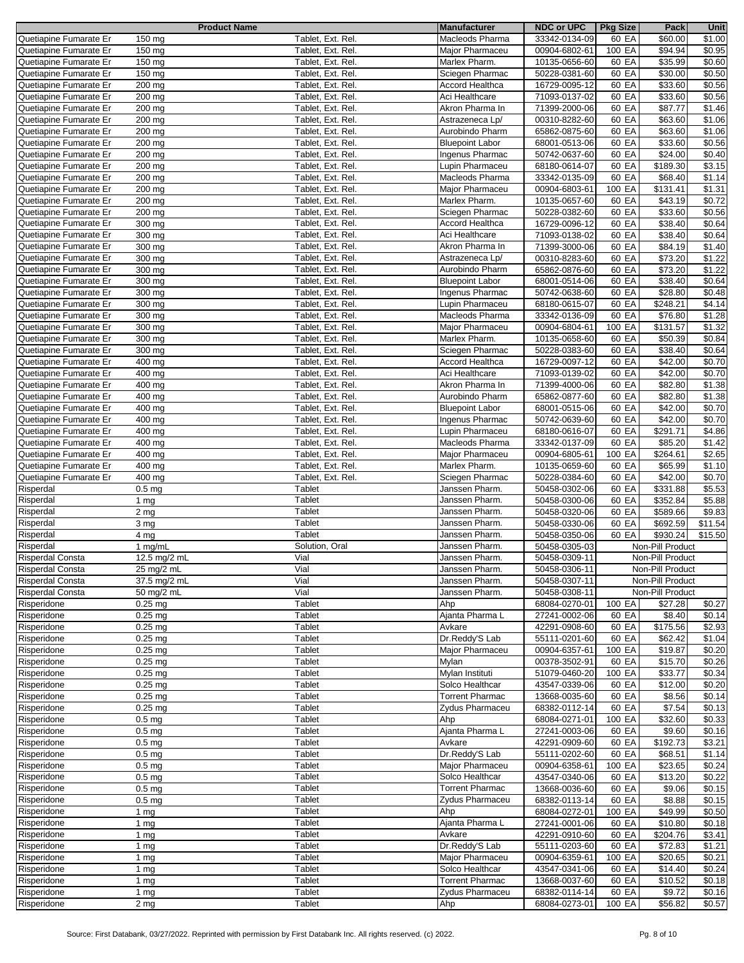|                         | <b>Product Name</b>          |                   | <b>Manufacturer</b>    | <b>NDC or UPC</b> | <b>Pkg Size</b> | Pack             | <b>Unit</b>        |
|-------------------------|------------------------------|-------------------|------------------------|-------------------|-----------------|------------------|--------------------|
| Quetiapine Fumarate Er  | 150 mg                       | Tablet, Ext. Rel. | Macleods Pharma        | 33342-0134-09     | 60 EA           | \$60.00          | \$1.00             |
| Quetiapine Fumarate Er  | 150 mg                       | Tablet, Ext. Rel. | Major Pharmaceu        | 00904-6802-61     | 100 EA          | \$94.94          | \$0.95             |
|                         |                              |                   |                        |                   |                 |                  |                    |
| Quetiapine Fumarate Er  | 150 mg                       | Tablet, Ext. Rel. | Marlex Pharm.          | 10135-0656-60     | 60 EA           | \$35.99          | \$0.60             |
| Quetiapine Fumarate Er  | 150 mg                       | Tablet, Ext. Rel. | Sciegen Pharmac        | 50228-0381-60     | 60 EA           | \$30.00          | \$0.50             |
| Quetiapine Fumarate Er  | 200 mg                       | Tablet, Ext. Rel. | <b>Accord Healthca</b> | 16729-0095-12     | 60 EA           | \$33.60          | \$0.56             |
| Quetiapine Fumarate Er  | $\overline{200}$ mg          | Tablet, Ext. Rel. | Aci Healthcare         | 71093-0137-02     | 60 EA           | \$33.60          | \$0.56             |
| Quetiapine Fumarate Er  | 200 mg                       | Tablet, Ext. Rel. | Akron Pharma In        | 71399-2000-06     | 60 EA           | \$87.77          | $\sqrt{$1.46}$     |
|                         |                              |                   |                        |                   |                 |                  |                    |
| Quetiapine Fumarate Er  | 200 mg                       | Tablet, Ext. Rel. | Astrazeneca Lp/        | 00310-8282-60     | 60 EA           | \$63.60          | \$1.06             |
| Quetiapine Fumarate Er  | $200 \,\mathrm{mg}$          | Tablet, Ext. Rel. | Aurobindo Pharm        | 65862-0875-60     | 60 EA           | \$63.60          | \$1.06             |
| Quetiapine Fumarate Er  | 200 mg                       | Tablet, Ext. Rel. | <b>Bluepoint Labor</b> | 68001-0513-06     | 60 EA           | \$33.60          | \$0.56             |
| Quetiapine Fumarate Er  | 200 mg                       | Tablet, Ext. Rel. | Ingenus Pharmac        | 50742-0637-60     | 60 EA           | \$24.00          | \$0.40             |
| Quetiapine Fumarate Er  | 200 mg                       | Tablet, Ext. Rel. | Lupin Pharmaceu        | 68180-0614-07     | 60 EA           | \$189.30         | \$3.15             |
|                         |                              |                   |                        |                   |                 |                  |                    |
| Quetiapine Fumarate Er  | 200 mg                       | Tablet, Ext. Rel. | Macleods Pharma        | 33342-0135-09     | 60 EA           | \$68.40          | $\sqrt{$1.14}$     |
| Quetiapine Fumarate Er  | 200 mg                       | Tablet, Ext. Rel. | Major Pharmaceu        | 00904-6803-61     | 100 EA          | \$131.41         | \$1.31             |
| Quetiapine Fumarate Er  | 200 mg                       | Tablet, Ext. Rel. | Marlex Pharm.          | 10135-0657-60     | 60 EA           | \$43.19          | \$0.72             |
| Quetiapine Fumarate Er  | 200 mg                       | Tablet, Ext. Rel. | Sciegen Pharmac        | 50228-0382-60     | 60 EA           | \$33.60          | $\overline{$}0.56$ |
| Quetiapine Fumarate Er  | 300 mg                       | Tablet, Ext. Rel. | <b>Accord Healthca</b> | 16729-0096-12     | 60 EA           | \$38.40          | $\overline{$}0.64$ |
|                         |                              |                   |                        |                   |                 |                  |                    |
| Quetiapine Fumarate Er  | $\overline{300}$ mg          | Tablet, Ext. Rel. | Aci Healthcare         | 71093-0138-02     | 60 EA           | \$38.40          | \$0.64             |
| Quetiapine Fumarate Er  | 300 mg                       | Tablet, Ext. Rel. | Akron Pharma In        | 71399-3000-06     | 60 EA           | \$84.19          | \$1.40             |
| Quetiapine Fumarate Er  | 300 mg                       | Tablet, Ext. Rel. | Astrazeneca Lp/        | 00310-8283-60     | 60 EA           | \$73.20          | \$1.22             |
| Quetiapine Fumarate Er  | 300 mg                       | Tablet, Ext. Rel. | Aurobindo Pharm        | 65862-0876-60     | 60 EA           | \$73.20          | \$1.22             |
| Quetiapine Fumarate Er  | 300 mg                       | Tablet, Ext. Rel. | <b>Bluepoint Labor</b> |                   | 60 EA           | \$38.40          | \$0.64             |
|                         |                              |                   |                        | 68001-0514-06     |                 |                  |                    |
| Quetiapine Fumarate Er  | 300 mg                       | Tablet, Ext. Rel. | Ingenus Pharmac        | 50742-0638-60     | 60 EA           | \$28.80          | \$0.48             |
| Quetiapine Fumarate Er  | $300$ mg                     | Tablet, Ext. Rel. | Lupin Pharmaceu        | 68180-0615-07     | 60 EA           | \$248.21         | \$4.14             |
| Quetiapine Fumarate Er  | 300 mg                       | Tablet, Ext. Rel. | Macleods Pharma        | 33342-0136-09     | 60 EA           | \$76.80          | \$1.28             |
| Quetiapine Fumarate Er  | 300 mg                       | Tablet, Ext. Rel. | Major Pharmaceu        | 00904-6804-61     | 100 EA          | \$131.57         | \$1.32             |
|                         |                              |                   |                        |                   |                 |                  |                    |
| Quetiapine Fumarate Er  | 300 mg                       | Tablet, Ext. Rel. | Marlex Pharm.          | 10135-0658-60     | 60 EA           | \$50.39          | \$0.84             |
| Quetiapine Fumarate Er  | 300 mg                       | Tablet, Ext. Rel. | Sciegen Pharmac        | 50228-0383-60     | 60 EA           | \$38.40          | \$0.64             |
| Quetiapine Fumarate Er  | 400 mg                       | Tablet, Ext. Rel. | Accord Healthca        | 16729-0097-12     | 60 EA           | \$42.00          | \$0.70             |
| Quetiapine Fumarate Er  | 400 mg                       | Tablet, Ext. Rel. | Aci Healthcare         | 71093-0139-02     | 60 EA           | \$42.00          | \$0.70             |
| Quetiapine Fumarate Er  | $\overline{400}$ mg          | Tablet, Ext. Rel. | Akron Pharma In        | 71399-4000-06     | 60 EA           | \$82.80          | \$1.38             |
|                         |                              |                   |                        |                   |                 |                  |                    |
| Quetiapine Fumarate Er  | 400 mg                       | Tablet, Ext. Rel. | Aurobindo Pharm        | 65862-0877-60     | 60 EA           | \$82.80          | \$1.38             |
| Quetiapine Fumarate Er  | 400 mg                       | Tablet, Ext. Rel. | <b>Bluepoint Labor</b> | 68001-0515-06     | 60 EA           | \$42.00          | \$0.70             |
| Quetiapine Fumarate Er  | 400 mg                       | Tablet, Ext. Rel. | Ingenus Pharmac        | 50742-0639-60     | 60 EA           | \$42.00          | \$0.70             |
| Quetiapine Fumarate Er  | 400 mg                       | Tablet, Ext. Rel. | Lupin Pharmaceu        | 68180-0616-07     | 60 EA           | \$291.71         | \$4.86             |
| Quetiapine Fumarate Er  | 400 mg                       | Tablet, Ext. Rel. | Macleods Pharma        | 33342-0137-09     | 60 EA           | \$85.20          | \$1.42             |
|                         |                              |                   |                        |                   |                 |                  |                    |
| Quetiapine Fumarate Er  | 400 mg                       | Tablet, Ext. Rel. | Major Pharmaceu        | 00904-6805-61     | 100 EA          | \$264.61         | \$2.65             |
| Quetiapine Fumarate Er  | 400 mg                       | Tablet, Ext. Rel. | Marlex Pharm.          | 10135-0659-60     | 60 EA           | \$65.99          | $\overline{$}1.10$ |
| Quetiapine Fumarate Er  | 400 mg                       | Tablet, Ext. Rel. | Sciegen Pharmac        | 50228-0384-60     | 60 EA           | \$42.00          | \$0.70             |
| Risperdal               | 0.5 <sub>mg</sub>            | Tablet            | Janssen Pharm.         | 50458-0302-06     | 60 EA           | \$331.88         | \$5.53             |
| Risperdal               | 1 <sub>mg</sub>              | Tablet            | Janssen Pharm.         | 50458-0300-06     | 60 EA           | \$352.84         | \$5.88             |
|                         |                              |                   |                        |                   |                 |                  |                    |
| Risperdal               | 2 <sub>mg</sub>              | Tablet            | Janssen Pharm.         | 50458-0320-06     | 60 EA           | \$589.66         | \$9.83             |
| Risperdal               | 3 mg                         | Tablet            | Janssen Pharm.         | 50458-0330-06     | 60 EA           | \$692.59         | \$11.54            |
| Risperdal               | 4 mg                         | Tablet            | Janssen Pharm.         | 50458-0350-06     | 60 EA           | \$930.24         | \$15.50            |
| Risperdal               | 1 mg/mL                      | Solution, Oral    | Janssen Pharm.         | 50458-0305-03     |                 | Non-Pill Product |                    |
| <b>Risperdal Consta</b> |                              | Vial              | Janssen Pharm.         |                   |                 |                  |                    |
|                         | 12.5 mg/2 mL                 |                   |                        | 50458-0309-11     |                 | Non-Pill Product |                    |
| Risperdal Consta        | $25 \text{ mg}/2 \text{ mL}$ | Vial              | Janssen Pharm.         | 50458-0306-11     |                 | Non-Pill Product |                    |
| <b>Risperdal Consta</b> | 37.5 mg/2 mL                 | Vial              | Janssen Pharm.         | 50458-0307-11     |                 | Non-Pill Product |                    |
| <b>Risperdal Consta</b> | 50 mg/2 mL                   | Vial              | Janssen Pharm.         | 50458-0308-11     |                 | Non-Pill Product |                    |
| Risperidone             | $0.25$ mg                    | Tablet            | Ahp                    | 68084-0270-01     | 100 EA          | \$27.28          | \$0.27             |
|                         |                              |                   |                        |                   |                 |                  |                    |
| Risperidone             | $0.25$ mg                    | Tablet            | Ajanta Pharma L        | 27241-0002-06     | 60 EA           | \$8.40           | $\overline{$}0.14$ |
| Risperidone             | $0.25$ mg                    | Tablet            | Avkare                 | 42291-0908-60     | 60 EA           | \$175.56         | \$2.93             |
| Risperidone             | $0.25$ mg                    | Tablet            | Dr.Reddy'S Lab         | 55111-0201-60     | 60 EA           | \$62.42          | \$1.04             |
| Risperidone             | $0.25$ mg                    | Tablet            | Major Pharmaceu        | 00904-6357-61     | 100 EA          | \$19.87          | \$0.20             |
| Risperidone             | $0.25$ mg                    | Tablet            | Mylan                  | 00378-3502-91     | 60 EA           | \$15.70          | \$0.26             |
| Risperidone             | $0.25$ mg                    | Tablet            | Mylan Instituti        | 51079-0460-20     | 100 EA          | \$33.77          | \$0.34             |
|                         |                              |                   |                        |                   |                 |                  |                    |
| Risperidone             | $0.25$ mg                    | Tablet            | Solco Healthcar        | 43547-0339-06     | 60 EA           | \$12.00          | \$0.20             |
| Risperidone             | $0.25$ mg                    | Tablet            | <b>Torrent Pharmac</b> | 13668-0035-60     | 60 EA           | \$8.56           | \$0.14             |
| Risperidone             | $0.25$ mg                    | Tablet            | Zydus Pharmaceu        | 68382-0112-14     | 60 EA           | \$7.54           | \$0.13             |
| Risperidone             | 0.5 <sub>mg</sub>            | Tablet            | Ahp                    | 68084-0271-01     | 100 EA          | \$32.60          | \$0.33             |
|                         |                              | Tablet            |                        | 27241-0003-06     |                 |                  |                    |
| Risperidone             | 0.5 <sub>mg</sub>            |                   | Ajanta Pharma L        |                   | 60 EA           | \$9.60           | \$0.16             |
| Risperidone             | 0.5 <sub>mg</sub>            | Tablet            | Avkare                 | 42291-0909-60     | 60 EA           | \$192.73         | \$3.21             |
| Risperidone             | 0.5 <sub>mg</sub>            | Tablet            | Dr.Reddy'S Lab         | 55111-0202-60     | 60 EA           | \$68.51          | \$1.14             |
| Risperidone             | 0.5 <sub>mg</sub>            | Tablet            | Major Pharmaceu        | 00904-6358-61     | 100 EA          | \$23.65          | \$0.24             |
| Risperidone             | 0.5 <sub>mg</sub>            | Tablet            | Solco Healthcar        | 43547-0340-06     | 60 EA           | \$13.20          | \$0.22             |
|                         |                              | Tablet            | <b>Torrent Pharmac</b> |                   |                 | \$9.06           |                    |
| Risperidone             | 0.5 <sub>mg</sub>            |                   |                        | 13668-0036-60     | 60 EA           |                  | \$0.15             |
| Risperidone             | 0.5 <sub>mg</sub>            | Tablet            | Zydus Pharmaceu        | 68382-0113-14     | 60 EA           | \$8.88           | \$0.15             |
| Risperidone             | 1 $mg$                       | Tablet            | Ahp                    | 68084-0272-01     | 100 EA          | \$49.99          | \$0.50             |
| Risperidone             | 1 <sub>mg</sub>              | Tablet            | Ajanta Pharma L        | 27241-0001-06     | 60 EA           | \$10.80          | \$0.18             |
| Risperidone             | 1 <sub>mg</sub>              | Tablet            | Avkare                 | 42291-0910-60     | 60 EA           | \$204.76         | \$3.41             |
|                         |                              |                   | Dr.Reddy'S Lab         |                   |                 |                  |                    |
| Risperidone             | 1 $mg$                       | Tablet            |                        | 55111-0203-60     | 60 EA           | \$72.83          | \$1.21             |
| Risperidone             | 1 $mg$                       | Tablet            | Major Pharmaceu        | 00904-6359-61     | 100 EA          | \$20.65          | \$0.21             |
| Risperidone             | 1 $mg$                       | Tablet            | Solco Healthcar        | 43547-0341-06     | 60 EA           | \$14.40          | \$0.24             |
| Risperidone             | 1 $mg$                       | Tablet            | <b>Torrent Pharmac</b> | 13668-0037-60     | 60 EA           | \$10.52          | \$0.18             |
| Risperidone             | 1 $mg$                       | Tablet            | Zydus Pharmaceu        | 68382-0114-14     |                 | \$9.72           |                    |
|                         |                              |                   |                        |                   | 60 EA           |                  | \$0.16             |
| Risperidone             | 2 <sub>mg</sub>              | Tablet            | Ahp                    | 68084-0273-01     | 100 EA          | \$56.82          | \$0.57             |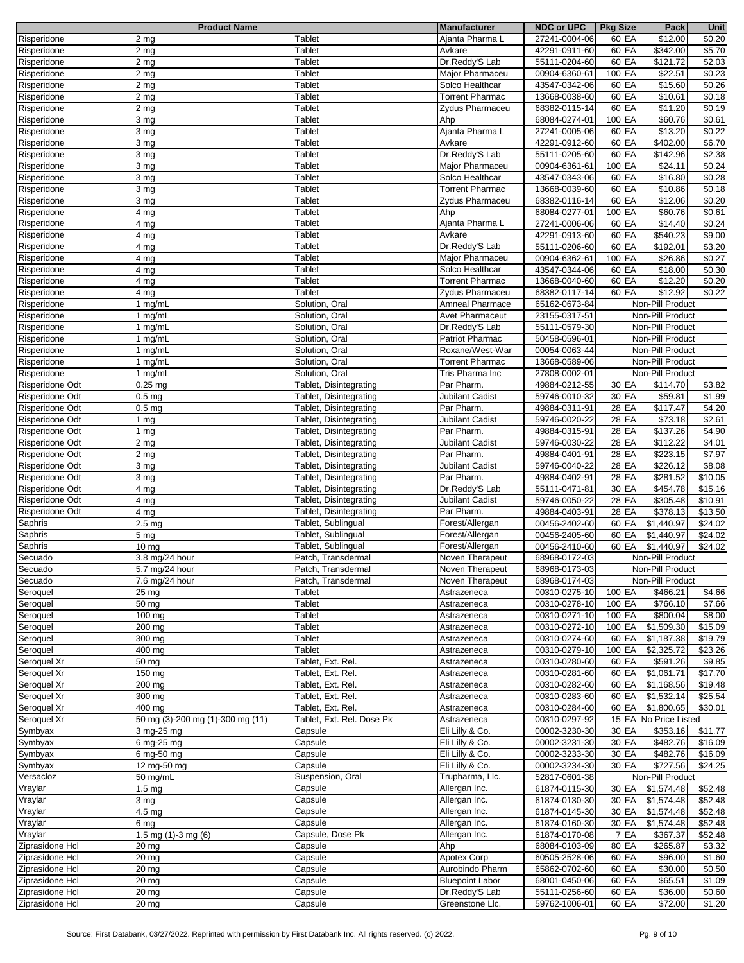|                 | <b>Product Name</b>              |                           | <b>Manufacturer</b>    | <b>NDC or UPC</b> | <b>Pkg Size</b> | Pack                  | Unit               |
|-----------------|----------------------------------|---------------------------|------------------------|-------------------|-----------------|-----------------------|--------------------|
| Risperidone     | $2 \, \text{mg}$                 | Tablet                    | Ajanta Pharma L        | 27241-0004-06     | 60 EA           | \$12.00               | \$0.20             |
| Risperidone     | 2 <sub>mg</sub>                  | Tablet                    | Avkare                 | 42291-0911-60     | 60 EA           | \$342.00              | \$5.70             |
| Risperidone     |                                  | Tablet                    | Dr.Reddy'S Lab         |                   | 60 EA           | \$121.72              | \$2.03             |
|                 | 2 <sub>mg</sub>                  |                           |                        | 55111-0204-60     |                 |                       |                    |
| Risperidone     | 2 <sub>mg</sub>                  | <b>Tablet</b>             | Major Pharmaceu        | 00904-6360-61     | 100 EA          | \$22.51               | \$0.23             |
| Risperidone     | 2 <sub>mg</sub>                  | Tablet                    | Solco Healthcar        | 43547-0342-06     | 60 EA           | \$15.60               | \$0.26             |
| Risperidone     | 2 <sub>mg</sub>                  | <b>Tablet</b>             | <b>Torrent Pharmac</b> | 13668-0038-60     | 60 EA           | \$10.61               | \$0.18             |
| Risperidone     | 2 <sub>mg</sub>                  | Tablet                    | Zydus Pharmaceu        | 68382-0115-14     | 60 EA           | \$11.20               | \$0.19             |
| Risperidone     | 3 mg                             | Tablet                    | Ahp                    | 68084-0274-01     | 100 EA          | \$60.76               | \$0.61             |
|                 |                                  |                           |                        |                   |                 |                       |                    |
| Risperidone     | 3 mg                             | Tablet                    | Ajanta Pharma L        | 27241-0005-06     | 60 EA           | \$13.20               | \$0.22             |
| Risperidone     | 3 mg                             | Tablet                    | Avkare                 | 42291-0912-60     | 60 EA           | \$402.00              | \$6.70             |
| Risperidone     | 3 mg                             | Tablet                    | Dr.Reddy'S Lab         | 55111-0205-60     | 60 EA           | \$142.96              | \$2.38             |
| Risperidone     | 3 mg                             | Tablet                    | Major Pharmaceu        | 00904-6361-61     | 100 EA          | \$24.11               | \$0.24             |
| Risperidone     | 3 mg                             | Tablet                    | Solco Healthcar        | 43547-0343-06     | 60 EA           | \$16.80               | \$0.28             |
| Risperidone     | 3 mg                             | Tablet                    | <b>Torrent Pharmac</b> | 13668-0039-60     | 60 EA           | \$10.86               | $\overline{$}0.18$ |
|                 |                                  |                           |                        |                   |                 |                       |                    |
| Risperidone     | 3 mg                             | Tablet                    | Zydus Pharmaceu        | 68382-0116-14     | 60 EA           | \$12.06               | $\frac{1}{2}0.20$  |
| Risperidone     | 4 <sub>mg</sub>                  | Tablet                    | Ahp                    | 68084-0277-01     | 100 EA          | \$60.76               | \$0.61             |
| Risperidone     | 4 mg                             | Tablet                    | Ajanta Pharma L        | 27241-0006-06     | 60 EA           | \$14.40               | \$0.24             |
| Risperidone     | 4 <sub>mg</sub>                  | Tablet                    | Avkare                 | 42291-0913-60     | 60 EA           | \$540.23              | \$9.00             |
| Risperidone     | 4 mg                             | Tablet                    | Dr.Reddy'S Lab         | 55111-0206-60     | 60 EA           | \$192.01              | \$3.20             |
|                 |                                  |                           |                        |                   |                 |                       |                    |
| Risperidone     | 4 mg                             | Tablet                    | Major Pharmaceu        | 00904-6362-61     | 100 EA          | \$26.86               | \$0.27             |
| Risperidone     | 4 mg                             | Tablet                    | Solco Healthcar        | 43547-0344-06     | 60 EA           | \$18.00               | \$0.30             |
| Risperidone     | 4 mg                             | Tablet                    | <b>Torrent Pharmac</b> | 13668-0040-60     | 60 EA           | \$12.20               | \$0.20             |
| Risperidone     | 4 <sub>mg</sub>                  | Tablet                    | <b>Zvdus Pharmaceu</b> | 68382-0117-14     | 60 EA           | \$12.92               | \$0.22             |
| Risperidone     | 1 mg/mL                          | Solution, Oral            | <b>Amneal Pharmace</b> | 65162-0673-84     |                 | Non-Pill Product      |                    |
|                 |                                  |                           |                        |                   |                 |                       |                    |
| Risperidone     | 1 mg/mL                          | Solution, Oral            | <b>Avet Pharmaceut</b> | 23155-0317-51     |                 | Non-Pill Product      |                    |
| Risperidone     | 1 $mg/ml$                        | Solution, Oral            | Dr.Reddy'S Lab         | 55111-0579-30     |                 | Non-Pill Product      |                    |
| Risperidone     | 1 mg/mL                          | Solution, Oral            | <b>Patriot Pharmac</b> | 50458-0596-01     |                 | Non-Pill Product      |                    |
| Risperidone     | 1 mg/mL                          | Solution, Oral            | Roxane/West-War        | 00054-0063-44     |                 | Non-Pill Product      |                    |
| Risperidone     | 1 $mg/ml$                        | Solution, Oral            | <b>Torrent Pharmac</b> | 13668-0589-06     |                 | Non-Pill Product      |                    |
|                 |                                  |                           |                        |                   |                 | Non-Pill Product      |                    |
| Risperidone     | 1 mg/mL                          | Solution, Oral            | Tris Pharma Inc        | 27808-0002-01     |                 |                       |                    |
| Risperidone Odt | $0.25$ mg                        | Tablet, Disintegrating    | Par Pharm.             | 49884-0212-55     | 30 EA           | \$114.70              | \$3.82             |
| Risperidone Odt | 0.5 <sub>mg</sub>                | Tablet, Disintegrating    | Jubilant Cadist        | 59746-0010-32     | 30 EA           | \$59.81               | \$1.99             |
| Risperidone Odt | 0.5 <sub>mg</sub>                | Tablet, Disintegrating    | Par Pharm.             | 49884-0311-91     | 28 EA           | \$117.47              | \$4.20             |
| Risperidone Odt | 1 mg                             | Tablet, Disintegrating    | Jubilant Cadist        | 59746-0020-22     | 28 EA           | \$73.18               | \$2.61             |
| Risperidone Odt | 1 $mg$                           | Tablet, Disintegrating    | Par Pharm.             | 49884-0315-91     | 28 EA           | \$137.26              | \$4.90             |
|                 |                                  |                           |                        |                   |                 |                       |                    |
| Risperidone Odt | 2 <sub>mg</sub>                  | Tablet, Disintegrating    | Jubilant Cadist        | 59746-0030-22     | 28 EA           | \$112.22              | \$4.01             |
| Risperidone Odt | 2 <sub>mg</sub>                  | Tablet, Disintegrating    | Par Pharm.             | 49884-0401-91     | 28 EA           | \$223.15              | \$7.97             |
| Risperidone Odt | 3 mg                             | Tablet, Disintegrating    | Jubilant Cadist        | 59746-0040-22     | 28 EA           | \$226.12              | \$8.08             |
| Risperidone Odt | 3 mg                             | Tablet, Disintegrating    | Par Pharm.             | 49884-0402-91     | 28 EA           | \$281.52              | \$10.05            |
| Risperidone Odt | 4 mg                             | Tablet, Disintegrating    | Dr.Reddy'S Lab         | 55111-0471-81     | 30 EA           | \$454.78              | \$15.16            |
|                 |                                  |                           |                        |                   |                 | \$305.48              |                    |
| Risperidone Odt | 4 mg                             | Tablet, Disintegrating    | Jubilant Cadist        | 59746-0050-22     | 28 EA           |                       | \$10.91            |
| Risperidone Odt | 4 mg                             | Tablet, Disintegrating    | Par Pharm.             | 49884-0403-91     | 28 EA           | \$378.13              | \$13.50            |
| Saphris         | 2.5 <sub>mg</sub>                | Tablet, Sublingual        | Forest/Allergan        | 00456-2402-60     | 60 EA           | \$1,440.97            | \$24.02            |
| Saphris         | 5 mg                             | Tablet, Sublingual        | Forest/Allergan        | 00456-2405-60     | 60 EA           | \$1,440.97            | \$24.02            |
| Saphris         | $10 \text{ mg}$                  | Tablet, Sublingual        | Forest/Allergan        | 00456-2410-60     | 60 EA           | \$1,440.97            | \$24.02            |
|                 |                                  |                           |                        |                   |                 |                       |                    |
| Secuado         | 3.8 mg/24 hour                   | Patch, Transdermal        | Noven Therapeut        | 68968-0172-03     |                 | Non-Pill Product      |                    |
| Secuado         | 5.7 mg/24 hour                   | Patch, Transdermal        | Noven Therapeut        | 68968-0173-03     |                 | Non-Pill Product      |                    |
| Secuado         | 7.6 mg/24 hour                   | Patch, Transdermal        | Noven Therapeut        | 68968-0174-03     |                 | Non-Pill Product      |                    |
| Seroquel        | 25 mg                            | Tablet                    | Astrazeneca            | 00310-0275-10     | 100 EA          | \$466.21              | \$4.66             |
| Seroquel        | 50 mg                            | Tablet                    | Astrazeneca            | 00310-0278-10     | 100 EA          | \$766.10              | \$7.66             |
|                 | 100 mg                           | Tablet                    | Astrazeneca            | 00310-0271-10     |                 | \$800.04              |                    |
| Seroquel        |                                  |                           |                        |                   | 100 EA          |                       | \$8.00             |
| Seroquel        | 200 mg                           | Tablet                    | Astrazeneca            | 00310-0272-10     | 100 EA          | \$1,509.30            | \$15.09            |
| Seroquel        | 300 mg                           | Tablet                    | Astrazeneca            | 00310-0274-60     | 60 EA           | \$1,187.38            | \$19.79            |
| Seroquel        | 400 mg                           | Tablet                    | Astrazeneca            | 00310-0279-10     | 100 EA          | \$2,325.72            | \$23.26            |
| Seroquel Xr     | 50 mg                            | Tablet, Ext. Rel.         | Astrazeneca            | 00310-0280-60     | 60 EA           | \$591.26              | \$9.85             |
| Seroquel Xr     | 150 mg                           | Tablet, Ext. Rel.         | Astrazeneca            | 00310-0281-60     | 60 EA           | \$1,061.71            | \$17.70            |
| Seroquel Xr     |                                  | Tablet, Ext. Rel.         | Astrazeneca            | 00310-0282-60     |                 |                       | \$19.48            |
|                 | 200 mg                           |                           |                        |                   | 60 EA           | \$1,168.56            |                    |
| Seroquel Xr     | 300 mg                           | Tablet, Ext. Rel.         | Astrazeneca            | 00310-0283-60     | 60 EA           | \$1,532.14            | \$25.54            |
| Seroquel Xr     | 400 mg                           | Tablet, Ext. Rel.         | Astrazeneca            | 00310-0284-60     | 60 EA           | \$1,800.65            | \$30.01            |
| Seroquel Xr     | 50 mg (3)-200 mg (1)-300 mg (11) | Tablet, Ext. Rel. Dose Pk | Astrazeneca            | 00310-0297-92     |                 | 15 EA No Price Listed |                    |
| Symbyax         | 3 mg-25 mg                       | Capsule                   | Eli Lilly & Co.        | 00002-3230-30     | 30 EA           | \$353.16              | \$11.77            |
| Symbyax         | 6 mg-25 mg                       | Capsule                   | Eli Lilly & Co.        | 00002-3231-30     | 30 EA           | \$482.76              | \$16.09            |
|                 |                                  |                           |                        |                   |                 |                       |                    |
| Symbyax         | 6 mg-50 mg                       | Capsule                   | Eli Lilly & Co.        | 00002-3233-30     | 30 EA           | \$482.76              | \$16.09            |
| Symbyax         | 12 mg-50 mg                      | Capsule                   | Eli Lilly & Co.        | 00002-3234-30     | 30 EA           | \$727.56              | \$24.25            |
| Versacloz       | 50 mg/mL                         | Suspension, Oral          | Trupharma, Llc.        | 52817-0601-38     |                 | Non-Pill Product      |                    |
| Vraylar         | 1.5 <sub>mg</sub>                | Capsule                   | Allergan Inc.          | 61874-0115-30     | 30 EA           | \$1,574.48            | \$52.48            |
| Vraylar         | 3 mg                             | Capsule                   | Allergan Inc.          | 61874-0130-30     | 30 EA           | \$1,574.48            | \$52.48            |
|                 |                                  |                           |                        |                   |                 |                       |                    |
| Vraylar         | 4.5 mg                           | Capsule                   | Allergan Inc.          | 61874-0145-30     | 30 EA           | \$1,574.48            | \$52.48            |
| Vraylar         | 6 mg                             | Capsule                   | Allergan Inc.          | 61874-0160-30     | 30 EA           | \$1,574.48            | \$52.48            |
| Vraylar         | 1.5 mg $(1)-3$ mg $(6)$          | Capsule, Dose Pk          | Allergan Inc.          | 61874-0170-08     | 7 EA            | \$367.37              | \$52.48            |
| Ziprasidone Hcl | 20 mg                            | Capsule                   | Ahp                    | 68084-0103-09     | 80 EA           | \$265.87              | \$3.32             |
| Ziprasidone Hcl | 20 <sub>mg</sub>                 | Capsule                   | <b>Apotex Corp</b>     | 60505-2528-06     | 60 EA           | \$96.00               | \$1.60             |
| Ziprasidone Hcl | 20 mg                            | Capsule                   | Aurobindo Pharm        | 65862-0702-60     | 60 EA           | \$30.00               | \$0.50             |
| Ziprasidone Hcl |                                  |                           | <b>Bluepoint Labor</b> |                   |                 |                       |                    |
|                 | 20 mg                            | Capsule                   |                        | 68001-0450-06     | 60 EA           | \$65.51               | \$1.09             |
| Ziprasidone Hcl | 20 mg                            | Capsule                   | Dr.Reddy'S Lab         | 55111-0256-60     | 60 EA           | \$36.00               | \$0.60             |
| Ziprasidone Hcl | $\overline{20}$ mg               | Capsule                   | Greenstone Llc.        | 59762-1006-01     | 60 EA           | \$72.00               | \$1.20             |